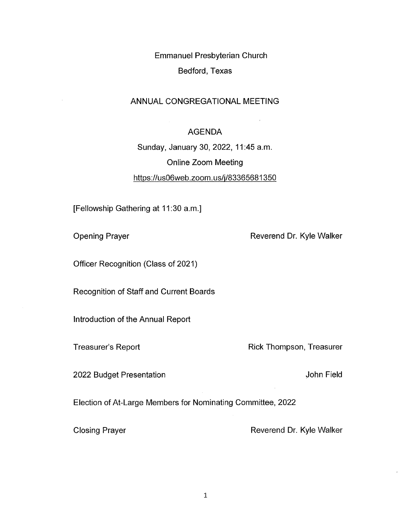Emmanuel Presbyterian Church

## Bedford, Texas

#### ANNUAL CONGREGATIONAL MEETING

### AGENDA

 $\bar{I}$ 

Sunday, January 30, 2022, 11:45 a.m. Online Zoom Meeting https://us06web.zoom.us/j/83365681350

[Fellowship Gathering at 11:30 a.m.]

 $\sim$ 

Opening Prayer **Reverend Dr. Kyle Walker** Reverend Dr. Kyle Walker

Officer Recognition (Class of 2021)

Recognition of Staff and Current Boards

Introduction of the Annual Report

Treasurer's Report **Rick Thompson, Treasurer** Rick Thompson, Treasurer

2022 Budget Presentation **Contract Contract Contract Contract Contract Contract Contract Contract Contract Contract Contract Contract Contract Contract Contract Contract Contract Contract Contract Contract Contract Contrac** 

Election of At-Large Members for Nominating Committee, 2022

Closing Prayer **Reverend Dr. Kyle Walker** Reverend Dr. Kyle Walker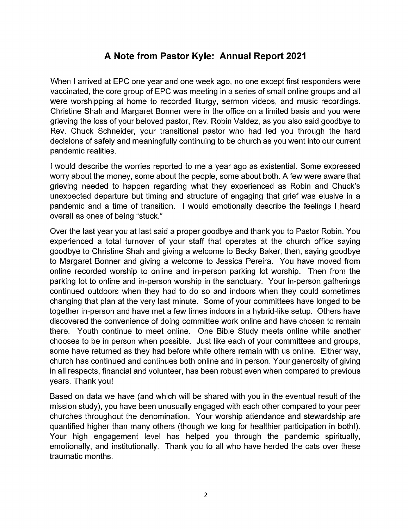# Note from Pastor Kyle: Annual Report 2021

When I arrived at EPC one year and one week ago, no one except first responders were vaccinated, the core group of EPC was meeting in a series of small online groups and all were worshipping at home to recorded liturgy, sermon videos, and music recordings. Christine Shah and Margaret Bonner were in the office on a limited basis and you were grieving the loss of your beloved pastor, Rev. Robin Valdez, as you also said goodbye to Rev. Chuck Schneider, your transitional pastor who had led you through the hard decisions of safely and meaningfully continuing to be church as you went into our current pandemic realities.

I would describe the worries reported to me a year ago as existential. Some expressed worry about the money, some about the people, some about both. A few were aware that grieving needed to happen regarding what they experienced as Robin and Chuck's unexpected departure but timing and structure of engaging that grief was elusive in pandemic and a time of transition. I would emotionally describe the feelings I heard overall as ones of being "stuck."

Over the last year you at last said a proper goodbye and thank you to Pastor Robin. You experienced a total turnover of your staff that operates at the church office saying goodbye to Christine Shah and giving a welcome to Becky Baker; then, saying goodbye to Margaret Bonner and giving a welcome to Jessica Pereira. You have moved from online recorded worship to online and in-person parking lot worship. Then from the parking lot to online and in-person worship in the sanctuary. Your in-person gatherings continued outdoors when they had to do so and indoors when they could sometimes changing that plan at the very last minute. Some of your committees have longed to be together in-person and have met a few times indoors in a hybrid-like setup. Others have discovered the convenience of doing committee work online and have chosen to remain there. Youth continue to meet online. One Bible Study meets online while another chooses to be in person when possible. Just like each of your committees and groups, some have returned as they had before while others remain with us online. Either way, church has continued and continues both online and in person. Your generosity of giving in all respects, financial and volunteer, has been robust even when compared to previous years. Thank you!

Based on data we have (and which will be shared with you in the eventual result of the mission study), you have been unusually engaged with each other compared to your peer churches throughout the denomination. Your worship attendance and stewardship are quantified higher than many others (though we long for healthier participation in both!). Your high engagement level has helped you through the pandemic spiritually, emotionally, and institutionally. Thank you to all who have herded the cats over these traumatic months.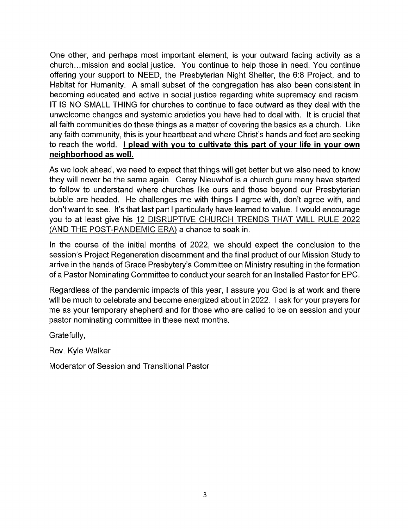One other, and perhaps most important element, is your outward facing activity as church...mission and social justice. You continue to help those in need. You continue offering your support to NEED, the Presbyterian Night Shelter, the 6:8 Project, and to Habitat for Humanity. A small subset of the congregation has also been consistent in becoming educated and active in social justice regarding white supremacy and racism. IT IS NO SMALL THING for churches to continue to face outward as they deal with the unwelcome changes and systemic anxieties you have had to deal with. It is crucial that all faith communities do these things as matter of covering the basics as church. Like any faith community, this is your heartbeat and where Christ's hands and feet are seeking to reach the world. I plead with you to cultivate this part of your life in your own neighborhood as well.

As we look ahead, we need to expect that things will get better but we also need to know they will never be the same again. Carey Nieuwhof is a church guru many have started to follow to understand where churches like ours and those beyond our Presbyterian bubble are headed. He challenges me with things I agree with, don't agree with, and don't want to see. It's that last part I particularly have learned to value. I would encourage you to at least give his <sup>12</sup> DISRUPTIVE CHURCH TRENDS THAT WILL RULE 2022 (AND THE POST-PANDEMIC ERA) a chance to soak in.

In the course of the initial months of 2022, we should expect the conclusion to the session's Project Regeneration discernment and the final product of our Mission Study to<br>arrive in the hands of Grace Presbytery's Committee on Ministry resulting in the formation of a Pastor Nominating Committee to conduct your search for an Installed Pastor for EPC.

Regardless of the pandemic impacts of this year, I assure you God is at work and there will be much to celebrate and become energized about in 2022. I ask for your prayers for me as your temporary shepherd and for those who are called to be on session and your pastor nominating committee in these next months.

Gratefully,

Rev. Kyle Walker

Moderator of Session and Transitional Pastor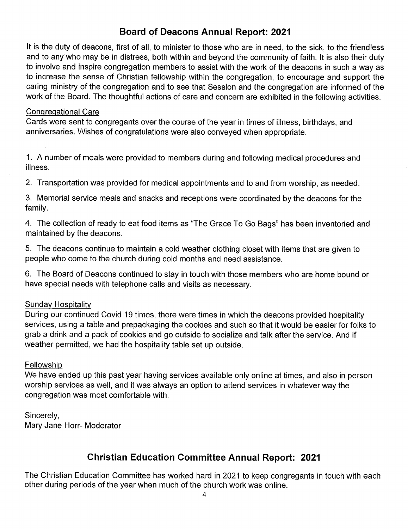# Board of Deacons Annual Report: 2021

It is the duty of deacons, first of all, to minister to those who are in need, to the sick, to the friendless and to any who may be in distress, both within and beyond the community of faith. It is also their duty to involve and inspire congregation members to assist with the work of the deacons in such a way as to increase the sense of Christian fellowship within the congregation, to encourage and support the caring ministry of the congregation and to see that Session and the congregation are informed of the work of the Board. The thoughtful actions of care and concern are exhibited in the following activities.

#### Congregational Care

Cards were sent to congregants over the course of the year in times of illness, birthdays, and anniversaries. Wishes of congratulations were also conveyed when appropriate.

1. Anumber of meals were provided to members during and following medical procedures and illness.

2. Transportation was provided for medical appointments and to and from worship, as needed.

3. Memorial service meals and snacks and receptions were coordinated by the deacons for the family.

4. The collection of ready to eat food items as "The Grace To Go Bags" has been inventoried and maintained by the deacons.

5. The deacons continue to maintain a cold weather clothing closet with items that are given to people who come to the church during cold months and need assistance.

6. The Board of Deacons continued to stay in touch with those members who are home bound or have special needs with telephone calls and visits as necessary.

## Sunday Hospitality

During our continued Covid 19 times, there were times in which the deacons provided hospitality services, using a table and prepackaging the cookies and such so that it would be easier for folks to grab a drink and a pack of cookies and go outside to socialize and talk after the service. And if weather permitted, we had the hospitality table set up outside.

## Fellowship

We have ended up this past year having services available only online at times, and also in person worship services as well, and it was always an option to attend services in whatever way the congregation was most comfortable with.

## Sincerely,

Mary Jane Horr- Moderator

# Christian Education Committee Annual Report: 2021

The Christian Education Committee has worked hard in 2021 to keep congregants in touch with each other during periods of the year when much of the church work was online.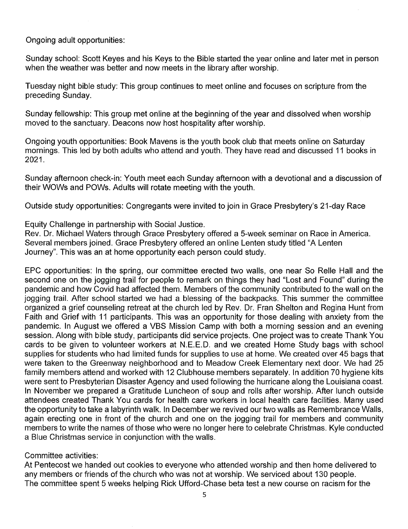Ongoing adult opportunities:

Sunday school: Scott Keyes and his Keys to the Bible started the year online and later met in person when the weather was better and now meets in the library after worship.

Tuesday night bible study: This group continues to meet online and focuses on scripture from the preceding Sunday.

Sunday fellowship: This group met online at the beginning of the year and dissolved when worship moved to the sanctuary. Deacons now host hospitality after worship.

Ongoing youth opportunities: Book Mavens is the youth book club that meets online on Saturday mornings. This led by both adults who attend and youth. They have read and discussed <sup>11</sup> books in 2021.

Sunday afternoon check-in: Youth meet each Sunday afternoon with a devotional and a discussion of their WOWs and POWs. Adults will rotate meeting with the youth.

Outside study opportunities: Congregants were invited to join in Grace Presbytery's 21-day Race

Equity Challenge in partnership with Social Justice.<br>Rev. Dr. Michael Waters through Grace Presbytery offered a 5-week seminar on Race in America.<br>Several members joined. Grace Presbytery offered an online Lenten study tit Journey". This was an at home opportunity each person could study.

EPC opportunities: In the spring, our committee erected two walls, one near So Relle Hall and the second one on the jogging trail for people to remark on things they had "Lost and Found" during the pandemic and how Covid had affected them. Members of the community contributed to the wall on the jogging trail. After school started we had a blessing of the backpacks. This summer the committee organized a grief counseling retreat at the church led by Rev. Dr. Fran Shelton and Regina Hunt from Faith and Grief with <sup>11</sup> participants. This was an opportunity for those dealing with anxiety from the pandemic. In August we offered a VBS Mission Camp with both a morning session and an evening session. Along with bible study, participants did service projects. One project was to create Thank You cards to be given to volunteer workers at N.E.E.D. and we created Home Study bags with school<br>supplies for students who had limited funds for supplies to use at home. We created over 45 bags that were taken to the Greenway neighborhood and to Meadow Creek Elementary next door. We had 25 family members attend and worked with 12 Clubhouse members separately. In addition 70 hygiene kits were sent to Presbyterian Disaster Agency and used following the hurricane along the Louisiana coast.<br>In November we prepared a Gratitude Luncheon of soup and rolls after worship. After lunch outside attendees created Thank You cards for health care workers in local health care facilities. Many used the opportunity to take a labyrinth walk. In December we revived our two walls as Remembrance Walls,<br>again erecting one in front of the church and one on the jogging trail for members and community members to write the names of those who were no longer here to celebrate Christmas. Kyle conducted a Blue Christmas service in conjunction with the walls.

Committee activities:

At Pentecost we handed out cookies to everyone who attended worship and then home delivered to any members or friends of the church who was not at worship. We serviced about 130 people. The committee spent 5 weeks helping Rick Ufford-Chase beta test a new course on racism for the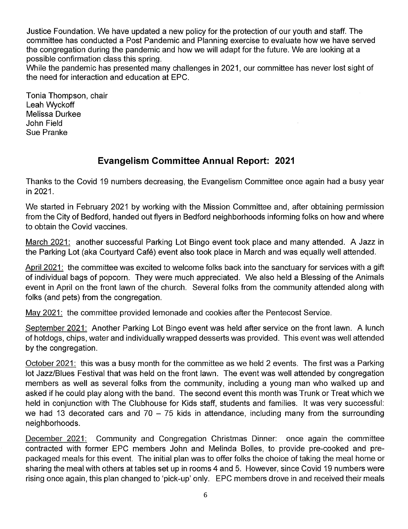Justice Foundation. We have updated a new policy for the protection of our youth and staff. The committee has conducted a Post Pandemic and Planning exercise to evaluate how we have served the congregation during the pandemic and how we will adapt for the future. We are looking at possible confirmation class this spring.<br>While the pandemic has presented many challenges in 2021, our committee has never lost sight of

the need for interaction and education at EPC.

Tonia Thompson, chair Leah Wyckoff Melissa Durkee John Field Sue Pranke

# Evangelism Committee Annual Report: 2021

Thanks to the Covid 19 numbers decreasing, the Evangelism Committee once again had a busy year in 2021.

We started in February 2021 by working with the Mission Committee and, after obtaining permission from the City of Bedford, handed out flyers in Bedford neighborhoods informing folks on how and where to obtain the Covid vaccines.

March 2021: another successful Parking Lot Bingo event took place and many attended. A Jazz in the Parking Lot (aka Courtyard Café) event also took place in March and was equally well attended.

April 2021: the committee was excited to welcome folks back into the sanctuary for services with a gift of individual bags of popcorn. They were much appreciated. We also held a Blessing of the Animals event in April on the front lawn of the church. Several folks from the community attended along with folks (and pets) from the congregation.

May 2021: the committee provided lemonade and cookies after the Pentecost Service.

September 2021: Another Parking Lot Bingo event was held after service on the front lawn. A lunch of hotdogs, chips, water and individually wrapped desserts was provided. This event was well attended by the congregation.

October 2021: this was a busy month for the committee as we held 2 events. The first was a Parking lot Jazz/Blues Festival that was held on the front lawn. The event was well attended by congregation members as well as several folks from the community, including a young man who walked up and asked if he could play along with the band. The second event this month was Trunk or Treat which we held in conjunction with The Clubhouse for Kids staff, students and families. It was very successful: we had 13 decorated cars and  $70 - 75$  kids in attendance, including many from the surrounding neighborhoods.

December 2021: Community and Congregation Christmas Dinner: once again the committee contracted with former EPC members John and Melinda Bolles, to provide pre-cooked and pre packaged meals for this event. The initial plan was to offer folks the choice of taking the meal home or sharing the meal with others at tables set up in rooms 4 and 5. However, since Covid 19 numbers were rising once again, this plan changed to 'pick-up' only. EPC members drove in and received their meals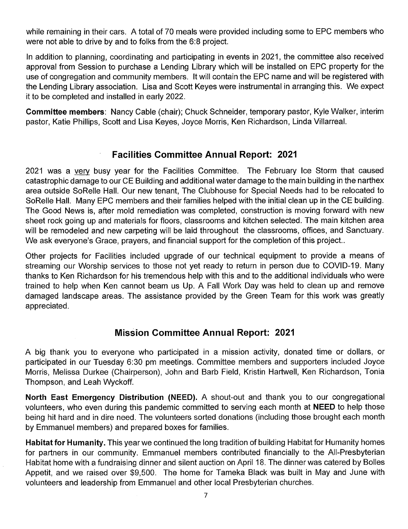while remaining in their cars. A total of 70 meals were provided including some to EPC members who were not able to drive by and to folks from the 6:8 project.

In addition to planning, coordinating and participating in events in 2021, the committee also received approval from Session to purchase a Lending Library which will be installed on EPC property for the use of congregation and community members. It will contain the EPC name and will be registered with the Lending Library association. Lisa and Scott Keyes were instrumental in arranging this. We expect it to be completed and installed in early 2022.

**Committee members**: Nancy Cable (chair); Chuck Schneider, temporary pastor, Kyle Walker, interim pastor, Katie Phillips, Scott and Lisa Keyes, Joyce Morris, Ken Richardson, Linda Villarreal.

# Facilities Committee Annual Report: 2021

2021 was a <u>very</u> busy year for the Facilities Committee. The February Ice Storm that caused catastrophic damage to our CE Building and additional water damage to the main building in the narthex area outside SoRelle Hall. Our new tenant, The Clubhouse for Special Needs had to be relocated to SoRelle Hall. Many EPC members and their families helped with the initial clean up in the CE building. The Good News is, after mold remediation was completed, construction is moving forward with new sheet rock going up and materials for floors, classrooms and kitchen selected. The main kitchen area will be remodeled and new carpeting will be laid throughout the classrooms, offices, and Sanctuary. We ask everyone's Grace, prayers, and financial support for the completion of this project..

Other projects for Facilities included upgrade of our technical equipment to provide a means of streaming our Worship services to those not yet ready to return in person due to COVID-19. Many thanks to Ken Richardson for his tremendous help with this and to the additional individuals who were trained to help when Ken cannot beam us Up. A Fall Work Day was held to clean up and remove damaged landscape areas. The assistance provided by the Green Team for this work was greatly appreciated.

# Mission Committee Annual Report: 2021

A big thank you to everyone who participated in a mission activity, donated time or dollars, or participated in our Tuesday 6:30 pm meetings. Committee members and supporters included Joyce Morris, Melissa Durkee (Chairperson), John and Barb Field, Kristin Hartwell, Ken Richardson, Tonia Thompson, and Leah Wyckoff.

North East Emergency Distribution (NEED). A shout-out and thank you to our congregational volunteers, who even during this pandemic committed to serving each month at NEED to help those being hit hard and in dire need. The volunteers sorted donations (including those brought each month by Emmanuel members) and prepared boxes for families.

Habitat for Humanity. This year we continued the long tradition of building Habitat for Humanity homes for partners in our community. Emmanuel members contributed financially to the All-Presbyterian Habitat home with a fundraising dinner and silent auction on April 18. The dinner was catered by Bolles Appetit, and we raised over \$9,500. The home for Tameka Black was built in May and June with volunteers and leadership from Emmanuel and other local Presbyterian churches.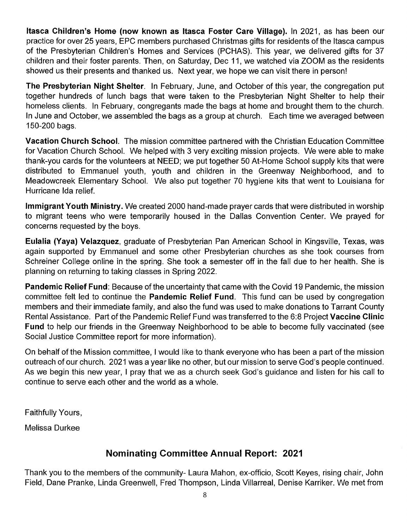Itasca Children's Home (now known as Itasca Foster Care Village). In 2021, as has been our practice for over 25 years, EPC members purchased Christmas gifts for residents of the Itasca campus of the Presbyterian Children's Homes and Services (PCHAS). This year, we delivered gifts for 37 children and their foster parents. Then, on Saturday, Dec 11, we watched via ZOOM as the residents showed us their presents and thanked us. Next year, we hope we can visit there in person!

The Presbyterian Night Shelter. In February, June, and October of this year, the congregation put together hundreds of lunch bags that were taken to the Presbyterian Night Shelter to help their homeless clients. In February, congregants made the bags at home and brought them to the church. In June and October, we assembled the bags as group at church. Each time we averaged between 150-200 bags.

Vacation Church School. The mission committee partnered with the Christian Education Committee for Vacation Church School. We helped with 3 very exciting mission projects. We were able to make thank-you cards for the volunteers at NEED; we put together 50 At-Home School supply kits that were distributed to Emmanuel youth, youth and children in the Greenway Neighborhood, and to Meadowcreek Elementary School. We also put together 70 hygiene kits that went to Louisiana for Hurricane Ida relief.

Immigrant Youth Ministry. We created 2000 hand-made prayer cards that were distributed in worship to migrant teens who were temporarily housed in the Dallas Convention Center. We prayed for concerns requested by the boys.

Eulalia (Yaya) Velazquez, graduate of Presbyterian Pan American School in Kingsville, Texas, was again supported by Emmanuel and some other Presbyterian churches as she took courses from Schreiner College online in the spring. She took a semester off in the fall due to her health. She is planning on returning to taking classes in Spring 2022.

Pandemic Relief Fund: Because of the uncertainty that came with the Covid <sup>19</sup> Pandemic, the mission committee felt led to continue the Pandemic Relief Fund. This fund can be used by congregation members and their immediate family, and also the fund was used to make donations to Tarrant County Rental Assistance. Part of the Pandemic Relief Fund was transferred to the 6:8 Project Vaccine Clinic Fund to help our friends in the Greenway Neighborhood to be able to become fully vaccinated (see Social Justice Committee report for more information).

On behalf of the Mission committee, I would like to thank everyone who has been a part of the mission outreach of our church. 2021 was a year like no other, but our mission to serve God's people continued. As we begin this new year, I pray that we as a church seek God's guidance and listen for his call to continue to serve each other and the world as a whole.

Faithfully Yours,

Melissa Durkee

# Nominating Committee Annual Report: 2021

Thank you to the members of the community- Laura Mahon, ex-officio, Scott Keyes, rising chair, John Field, Dane Pranke, Linda Greenwell, Fred Thompson, Linda Villarreal, Denise Karriker. We met from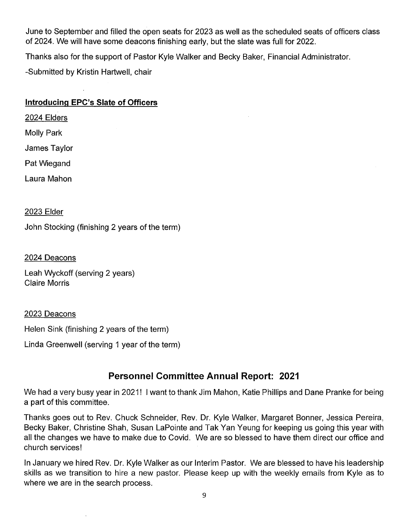June to September and filled the open seats for 2023 as well as the scheduled seats of officers class of 2024. We will have some deacons finishing early, but the slate was full for 2022.

Thanks also for the support of Pastor Kyle Walker and Becky Baker, Financial Administrator.

-Submitted by Kristin Hartwell, chair

## Introducing EPC's Slate of Officers

2024 Elders

Molly Park

James Taylor

Pat Wiegand

Laura Mahon

2023 Elder

John Stocking (finishing 2 years of the term)

2024 Deacons

Leah Wyckoff (serving 2 years) Claire Morris

## 2023 Deacons

Helen Sink (finishing 2 years of the term)

Linda Greenwell (serving 1 year of the term)

# Personnel Committee Annual Report: 2021

We had a very busy year in 2021! I want to thank Jim Mahon, Katie Phillips and Dane Pranke for being a part of this committee.

Thanks goes out to Rev. Chuck Schneider, Rev. Dr. Kyle Walker, Margaret Bonner, Jessica Pereira, Becky Baker, Christine Shah, Susan LaPointe and Tak Yan Yeung for keeping us going this year with all the changes we have to make due to Covid. We are so blessed to have them direct our office and church services!

In January we hired Rev. Dr. Kyle Walker as our Interim Pastor. We are blessed to have his leadership skills as we transition to hire a new pastor. Please keep up with the weekly emails from Kyle as to where we are in the search process.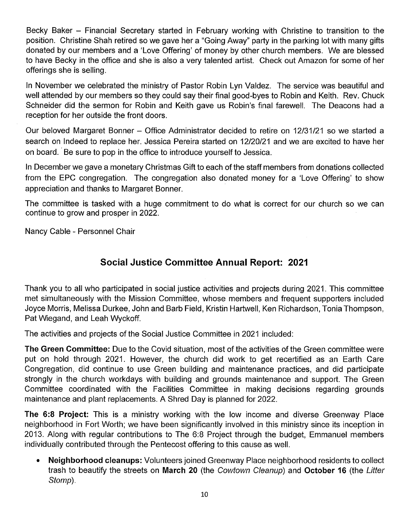Becky Baker – Financial Secretary started in February working with Christine to transition to the position. Christine Shah retired so we gave her a "Going Away" party in the parking lot with many gifts donated by our members and a 'Love Offering' of money by other church members. We are blessed to have Becky in the office and she is also a very talented artist. Check out Amazon for some of her offerings she is selling.

In November we celebrated the ministry of Pastor Robin Lyn Valdez. The service was beautiful and well attended by our members so they could say their final good-byes to Robin and Keith. Rev. Chuck Schneider did the sermon for Robin and Keith gave us Robin's final farewell. The Deacons had a reception for her outside the front doors.

Our beloved Margaret Bonner – Office Administrator decided to retire on 12/31/21 so we started a search on Indeed to replace her. Jessica Pereira started on 12/20/21 and we are excited to have her on board.  $\overline{\phantom{a}}$  Be sure to pop in the office to introduce yourself to Jessica.

In December we gave a monetary Christmas Gift to each of the staff members from donations collected from the EPC congregation. The congregation also donated money for a 'Love Offering' to show appreciation and thanks to Margaret Bonner.

The committee is tasked with a huge commitment to do what is correct for our church so we can continue to grow and prosper in 2022.

Nancy Cable - Personnel Chair

# Social Justice Committee Annual Report: <sup>2021</sup>

Thank you to all who participated in social justice activities and projects during 2021. This committee met simultaneously with the Mission Committee, whose members and frequent supporters included Joyce Morris, Melissa Durkee, John and Barb Field, Kristin Hartwell, Ken Richardson, Tonia Thompson, Pat Wiegand, and Leah Wyckoff.

The activities and projects of the Social Justice Committee in 2021 included:

The Green Committee: Due to the Covid situation, most of the activities of the Green committee were put on hold through 2021. However, the church did work to get recertified as an Earth Care Congregation, did continue to use Green building and maintenance practices, and did participate strongly in the church workdays with building and grounds maintenance and support. The Green Committee coordinated with the Facilities Committee in making decisions regarding grounds maintenance and plant replacements. A Shred Day is planned for 2022.

The 6:8 Project: This is a ministry working with the low income and diverse Greenway Place neighborhood in Fort Worth; we have been significantly involved in this ministry since its inception in 2013. Along with regular contributions to The 6:8 Project through the budget, Emmanuel members individually contributed through the Pentecost offering to this cause as well.

Neighborhood cleanups: Volunteers joined Greenway Place neighborhood residents to collect trash to beautify the streets on March 20 (the Cowtown Cleanup) and October 16 (the Lifter Stomp).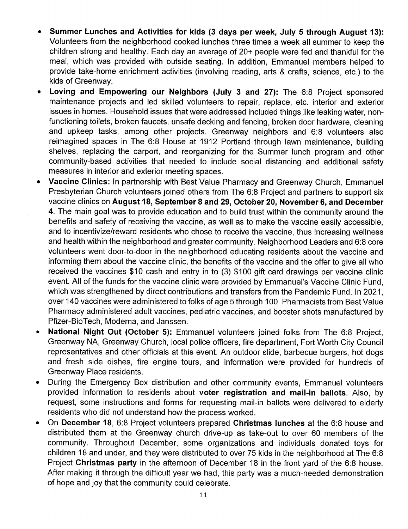- Summer Lunches and Activities for kids (3 days per week, July 5 through August 13): Volunteers from the neighborhood cooked lunches three times a week all summer to keep the children strong and healthy. Each day an average of 20+ people were fed and thankful for the meal, which was provided with outside seating. In addition, Emmanuel members helped to provide take-home enrichment activities (involving reading, arts & crafts, science, etc.) to the
- kids of Greenway.<br>Loving and Empowering our Neighbors (July 3 and 27): The 6:8 Project sponsored maintenance projects and led skilled volunteers to repair, replace, etc. interior and exterior issues in homes. Household issues that were addressed included things like leaking water, nonfunctioning toilets, broken faucets, unsafe decking and fencing, broken door hardware, cleaning and upkeep tasks, among other projects. Greenway neighbors and 6:8 volunteers also reimagined spaces in The 6:8 House at 1912 Portland through lawn maintenance, building shelves, replacing the carport, and reorganizing for the Summer lunch program and other
- measures in interior and exterior meeting spaces.<br>Vaccine Clinics: In partnership with Best Value Pharmacy and Greenway Church, Emmanuel<br>Presbyterian Church volunteers joined others from The 6:8 Project and partners to sup  $\bullet$ vaccine clinics on August 18, September 8 and 29, October 20, November 6. and December 4. The main goal was to provide education and to build trust within the community around the benefits and safety of receiving the vaccine, as well as to make the vaccine easily accessible, and to incentivize/reward residents who chose to receive the vaccine, thus increasing wellness and health within the neighborhood and greater community. Neighborhood Leaders and 6:8 core volunteers went door-to-door in the neighborhood educating residents about the vaccine and informing them about the vaccine clinic, the benefits of the vaccine and the offer to give all who received the vaccines \$10 cash and entry in to (3) \$100 gift card drawings per vaccine clinic event. All of the funds for the vaccine clinic were provided by Emmanuel's Vaccine Clinic Fund, which was strengthened by direct contributions and transfers from the Pandemic Fund. In 2021, over 140 vaccines were administered to folks of age 5 through 100. Pharmacists from Best Value Pharmacy administered adult vaccines, pediatric vaccines, and booster shots manufactured by Pfizer-BioTech, Moderna, and Janssen.
- National Night Out (October 5): Emmanuel volunteers joined folks from The 6:8 Project, Greenway NA, Greenway Church, local police officers, fire department, Fort Worth City Council representatives and other officials at this event. An outdoor slide, barbecue burgers, hot dogs and fresh side dishes, fire engine tours, and information were provided for hundreds of Greenway Place residents.
- During the Emergency Box distribution and other community events, Emmanuel volunteers provided information to residents about voter registration and mail-in ballots. Also, by request, some instructions and forms for requesting mail-in ballots were delivered to elderly residents who did not understand how the process worked.
- On December 18, 6:8 Project volunteers prepared Christmas lunches at the 6:8 house and  $\bullet$ distributed them at the Greenway church drive-up as take-out to over 60 members of the community. Throughout December, some organizations and individuals donated toys for children 18 and under, and they were distributed to over 75 kids in the neighborhood at The 6:8 Project Christmas party in the afternoon of December 18 in the front yard of the 6:8 house. After making it through the difficult year we had, this party was a much-needed demonstration of hope and joy that the community could celebrate.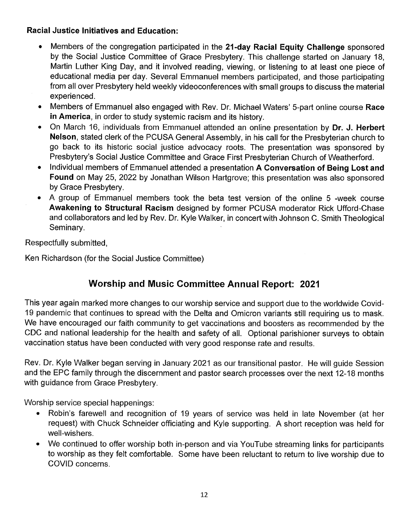## Racial Justice Initiatives and Education:

- Members of the congregation participated in the 21-day Racial Equity Challenge sponsored  $\bullet$ by the Social Justice Committee of Grace Presbytery. This challenge started on January 18, Martin Luther King Day, and it involved reading, viewing, or listening to at least one piece of educational media per day. Several Emmanuel members participated, and those participating from all over Presbytery held weekly videoconferences with small groups to discuss the material experienced.
- Members of Emmanuel also engaged with Rev. Dr. Michael Waters' 5-part online course Race  $\bullet$ **in America**, in order to study systemic racism and its history.
- On March 16, individuals from Emmanuel attended an online presentation by Dr. J. Herbert  $\bullet$ Nelson, stated clerk of the PCUSA General Assembly, in his call for the Presbyterian church to go back to its historic social justice advocacy roots. The presentation was sponsored by Presbytery's Social Justice Committee and Grace First Presbyterian Church of Weatherford.
- Individual members of Emmanuel attended a presentation A Conversation of Being Lost and Found on May 25, 2022 by Jonathan Wilson Hartgrove; this presentation was also sponsored by Grace Presbytery.
- A group of Emmanuel members took the beta test version of the online 5 -week course Awakening to Structural Racism designed by former PCUSA moderator Rick Ufford-Chase and collaborators and led by Rev. Dr. Kyle Walker, in concert with Johnson C. Smith Theological Seminary.

Respectfully submitted,

Ken Richardson (for the Social Justice Committee)

# Worship and Music Committee Annual Report: 2021

This year again marked more changes to our worship service and support due to the worldwide Covid-<br>19 pandemic that continues to spread with the Delta and Omicron variants still requiring us to mask. We have encouraged our faith community to get vaccinations and boosters as recommended by the<br>CDC and national leadership for the health and safety of all. Optional parishioner surveys to obtain vaccination status have been conducted with very good response rate and results.

Rev. Dr. Kyle Walker began serving in January <sup>2021</sup> as our transitional pastor. He will guide Session and the EPC family through the discernment and pastor search processes over the next 12-18 months with guidance from Grace Presbytery.

Worship service special happenings:

- Robin's farewell and recognition of <sup>19</sup> years of service was held in late November (at her request) with Chuck Schneider officiating and Kyle supporting. A short reception was held for well-wishers.
- We continued to offer worship both in-person and via YouTube streaming links for participants  $\bullet$ to worship as they felt comfortable. Some have been reluctant to return to live worship due to COVID concerns.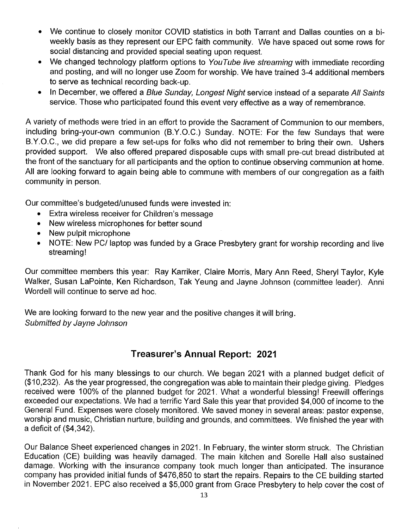- We continue to closely monitor COVID statistics in both Tarrant and Dallas counties on a biweekly basis as they represent our EPC faith community. We have spaced out some rows for social distancing and provided special seating upon request.
- We changed technology platform options to YouTube live streaming with immediate recording and posting, and will no longer use Zoom for worship. We have trained 3-4 additional members to serve as technical recording back-up.
- In December, we offered a Blue Sunday, Longest Night service instead of a separate All Saints service. Those who participated found this event very effective as a way of remembrance.

variety of methods were tried in an effort to provide the Sacrament of Communion to our members, including bring-your-own communion (B.Y.O.C.) Sunday. NOTE: For the few Sundays that were B.Y.O.C., we did prepare a few set-ups for folks who did not remember to bring their own. Ushers provided support. We also offered prepared disposable cups with small pre-cut bread distributed at the front of the sanctuary for all participants and the option to continue observing communion at home. All are looking forward to again being able to commune with members of our congregation as a faith community in person.

Our committee's budgeted/unused funds were invested in:

- Extra wireless receiver for Children's message
- New wireless microphones for better sound<br>New pulpit microphone  $\bullet$
- $\bullet$
- New pulpit microphone<br>NOTE: New PC/ laptop was funded by a Grace Presbytery grant for worship recording and live  $\bullet$ streaming!

Our committee members this year: Ray Karriker, Claire Morris, Mary Ann Reed, Sheryl Taylor, Kyle Walker, Susan LaPointe, Ken Richardson, Tak Yeung and Jayne Johnson (committee leader). Anni Wordell will continue to serve ad hoc.

We are looking forward to the new year and the positive changes it will bring. Submitted by Jayne Johnson

# Treasurer's Annual Report: 2021

Thank God for his many blessings to our church. We began 2021 with a planned budget deficit of (\$10,232). As the year progressed, the congregation was able to maintain their pledge giving. Pledges received were 100% of the planned budget for 2021. What a wonderful blessing! Freewill offerings exceeded our expectations. We had a terrific Yard Sale this year that provided \$4,000 of income to the General Fund. Expenses were closely monitored. We saved money in several areas: pastor expense, worship and music, Christian nurture, building and grounds, and committees. We finished the year with a deficit of (\$4,342).

Our Balance Sheet experienced changes in 2021. In February, the winter storm struck. The Christian Education (CE) building was heavily damaged. The main kitchen and Sorelle Hall also sustained damage. Working with the insurance company took much longer than anticipated. The insurance company has provided initial funds of \$476,850 to start the repairs. Repairs to the CE building started in November 2021. EPC also received a \$5,000 grant from Grace Presbytery to help cover the cost of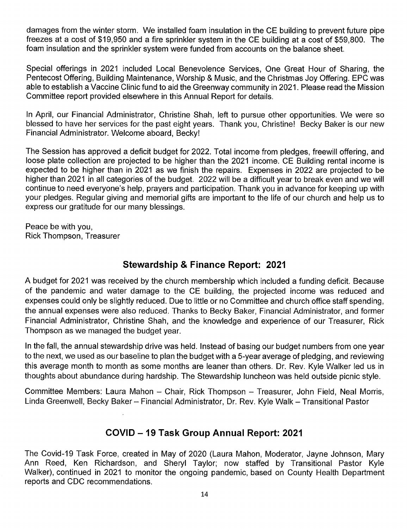damages from the winter storm. We installed foam insulation in the CE building to prevent future pipe freezes at a cost of \$19,950 and a fire sprinkler system in the CE building at a cost of \$59,800. The foam insulation and the sprinkler system were funded from accounts on the balance sheet.

Special offerings in 2021 included Local Benevolence Services, One Great Hour of Sharing, the Pentecost Offering, Building Maintenance, Worship & Music, and the Christmas Joy Offering. EPC was able to establish a Vaccine C Committee report provided elsewhere in this Annual Report for details.

In April, our Financial Administrator, Christine Shah, left to pursue other opportunities. We were so blessed to have her services for the past eight years. Thank you, Christine! Becky Baker is our new Financial Administrator. Welcome aboard, Becky!

The Session has approved a deficit budget for 2022. Total income from pledges, freewill offering, and loose plate collection are projected to be higher than the 2021 income. CE Building rental income is expected to be higher than in 2021 as we finish the repairs. Expenses in 2022 are projected to be higher than 2021 in all categories of the budget. 2022 will be difficult year to break even and we will continue to need everyone's help, prayers and participation. Thank you in advance for keeping up with your pledges. Regular giving and memorial gifts are important to the life of our church and help us to express our gratitude for our many blessings.

Peace be with you, Rick Thompson, Treasurer

## Stewardship & Finance Report: 2021

budget for 2021 was received by the church membership which included a funding deficit. Because of the pandemic and water damage to the CE building, the projected income was reduced and expenses could only be slightly reduced. Due to little or no Committee and church office staff spending, the annual expenses were also reduced. Thanks to Becky Baker, Financial Administrator, and former Financial Administrator, Christine Shah, and the knowledge and experience of our Treasurer, Rick Thompson as we managed the budget year.

In the fall, the annual stewardship drive was held. Instead of basing our budget numbers from one year to the next, we used as our baseline to plan the budget with a 5-year average of pledging, and reviewing this average month to month as some months are leaner than others. Dr. Rev. Kyle Walker led us in thoughts about abundance during hardship. The Stewardship luncheon was held outside picnic style.

Committee Members: Laura Mahon - Chair, Rick Thompson - Treasurer, John Field, Neal Morris, Linda Greenwell, Becky Baker -- Financial Administrator, Dr. Rev. Kyle Walk -- Transitional Pastor

# COVID 19 Task Group Annual Report: 2021

The Covid-19 Task Force, created in May of 2020 (Laura Mahon, Moderator, Jayne Johnson, Mary<br>Ann Reed, Ken Richardson, and Sheryl Taylor; now staffed by Transitional Pastor Kyle Walker), continued in 2021 to monitor the ongoing pandemic, based on County Health Department reports and CDC recommendations.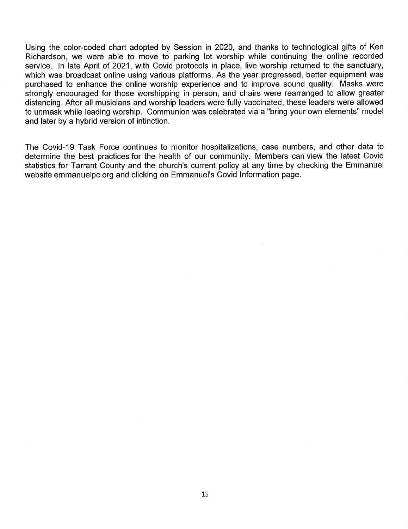Using the color-coded chart adopted by Session in 2020, and thanks to technological gifts of Ken Richardson, we were able to move to parking lot worship while continuing the online recorded service. In late April of 2021, with Covid protocols in place, live worship returned to the sanctuary, which was broadcast online using various platforms. As the year progressed, better equipment was purchased to enhance the online worship experience and to improve sound quality. Masks were strongly encouraged for those worshipping in person, and chairs were rearranged to allow greater distancing. After all musicians and worship leaders were fully vaccinated, these leaders were allowed to unmask while leading worship. Communion was celebrated via a "bring your own elements" model and later by a hybrid version of intinction.

The Covid-19 Task Force continues to monitor hospitalizations, case numbers, and other data to determine the best practices for the health of our community. Members can view the latest Covid<br>statistics for Tarrant County and the church's current policy at any time by checking the Emmanuel website emmanuelpc.org and clicking on Emmanuel's Covid Information page.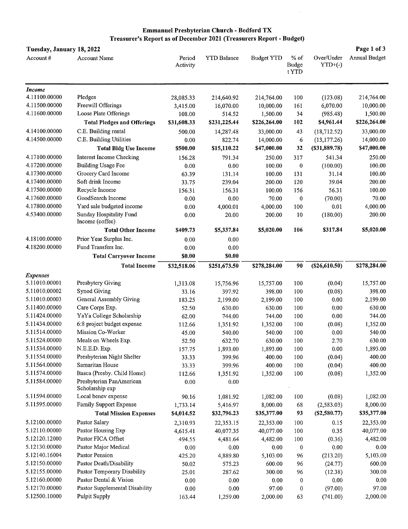#### Emmanuel Presbyterian Church - Bedford TX Treasurer's Report as of December 2021 (Treasurers Report - Budget)

 $\mathcal{A}^{\mathcal{A}}$ 

| Tuesday, January 18, 2022 |                                             |                    |                    |                   |                                 |                         | Page 1 of 3   |
|---------------------------|---------------------------------------------|--------------------|--------------------|-------------------|---------------------------------|-------------------------|---------------|
| Account #                 | <b>Account Name</b>                         | Period<br>Activity | <b>YTD Balance</b> | <b>Budget YTD</b> | $%$ of<br><b>Budge</b><br>t YTD | Over/Under<br>$YTD+(-)$ | Annual Budget |
| <b>Income</b>             |                                             |                    |                    |                   |                                 |                         |               |
| 4.11100.00000             | Pledges                                     | 28,085.33          | 214,640.92         | 214,764.00        | 100                             | (123.08)                | 214,764.00    |
| 4.11500.00000             | Freewill Offerings                          | 3,415.00           | 16,070.00          | 10,000.00         | 161                             | 6,070.00                | 10,000.00     |
| 4.11600.00000             | Loose Plate Offerings                       | 108.00             | 514.52             | 1,500.00          | 34                              | (985.48)                | 1,500.00      |
|                           | <b>Total Pledges and Offerings</b>          | \$31,608.33        | \$231,225.44       | \$226,264.00      | 102                             | \$4,961.44              | \$226,264.00  |
| 4.14100.00000             | C.E. Building rental                        | 500.00             | 14,287.48          | 33,000.00         | 43                              | (18, 712.52)            | 33,000.00     |
| 4.14500.00000             | C.E. Building Utilities                     | 0.00               | 822.74             | 14,000.00         | 6                               | (13, 177.26)            | 14,000.00     |
|                           | <b>Total Bldg Use Income</b>                | \$500.00           | \$15,110.22        | \$47,000.00       | 32                              | $($ \$31,889.78 $)$     | \$47,000.00   |
| 4.17100.00000             | <b>Interest Income Checking</b>             | 156.28             | 791.34             | 250.00            | 317                             | 541.34                  | 250.00        |
| 4.17200.00000             | <b>Building Usage Fee</b>                   | 0.00               | 0.00               | 100.00            | $\bf{0}$                        | (100.00)                | 100.00        |
| 4.17300.00000             | Grocery Card Income                         | 63.39              | 131.14             | 100.00            | 131                             | 31.14                   | 100.00        |
| 4.17400.00000             | Soft drink Income                           | 33.75              | 239.04             | 200.00            | 120                             | 39.04                   | 200.00        |
| 4.17500.00000             | Recycle Income                              | 156.31             | 156.31             | 100.00            | 156                             | 56.31                   | 100.00        |
| 4.17600.00000             | GoodSearch Income                           | 0.00               | 0.00               | 70.00             | $\bf{0}$                        | (70.00)                 | 70.00         |
| 4.17800.00000             | Yard sale budgeted income                   | 0.00               | 4,000.01           | 4,000.00          | 100                             | 0.01                    | 4,000.00      |
| 4.53400.00000             | Sunday Hospitality Fund<br>Income (coffee)  | 0.00               | 20.00              | 200.00            | 10                              | (180.00)                | 200.00        |
|                           | <b>Total Other Income</b>                   | \$409.73           | \$5,337.84         | \$5,020.00        | 106                             | \$317.84                | \$5,020.00    |
| 4.18100.00000             | Prior Year Surplus Inc.                     | 0.00               | 0.00               |                   |                                 |                         |               |
| 4.18200.00000             | Fund Transfers Inc.                         | 0.00               | 0.00               |                   |                                 |                         |               |
|                           | <b>Total Carryover Income</b>               | \$0.00             | \$0.00             |                   |                                 |                         |               |
|                           |                                             |                    |                    |                   | 90                              |                         |               |
|                           | <b>Total Income</b>                         | \$32,518.06        | \$251,673.50       | \$278,284.00      |                                 | (\$26,610.50)           | \$278,284.00  |
| <b>Expenses</b>           |                                             |                    |                    |                   |                                 |                         |               |
| 5.11010.00001             | Presbytery Giving                           | 1,313.08           | 15,756.96          | 15,757.00         | 100                             | (0.04)                  | 15,757.00     |
| 5.11010.00002             | <b>Synod Giving</b>                         | 33.16              | 397.92             | 398.00            | 100                             | (0.08)                  | 398.00        |
| 5.11010.00003             | <b>General Assembly Giving</b>              | 183.25             | 2,199.00           | 2,199.00          | 100                             | 0.00                    | 2,199.00      |
| 5.11400.00000             | Care Corps Exp.                             | 52.50              | 630.00             | 630.00            | 100                             | 0.00                    | 630.00        |
| 5.11424.00000             | YaYa College Scholarship                    | 62.00              | 744.00             | 744.00            | 100                             | 0.00                    | 744.00        |
| 5.11434.00000             | 6:8 project budget expense                  | 112.66             | 1,351.92           | 1,352.00          | 100                             | (0.08)                  | 1,352.00      |
| 5.11514.00000             | Mission Co-Worker                           | 45.00              | 540.00             | 540.00            | 100                             | 0.00                    | 540.00        |
| 5.11524.00000             | Meals on Wheels Exp.                        | 52.50              | 632.70             | 630.00            | 100                             | 2.70                    | 630.00        |
| 5.11534.00000             | N.E.E.D. Exp.                               | 157.75             | 1,893.00           | 1,893.00          | 100                             | 0.00                    | 1,893.00      |
| 5.11554.00000             | Presbyterian Night Shelter                  | 33.33              | 399.96             | 400.00            | 100                             | (0.04)                  | 400.00        |
| 5.11564.00000             | Samaritan House                             | 33.33              | 399.96             | 400.00            | 100                             | (0.04)                  | 400.00        |
| 5.11574.00000             | Itasca (Presby. Child Home)                 | 112.66             | 1,351.92           | 1,352.00          | 100                             | (0.08)                  | 1,352.00      |
| 5.11584.00000             | Presbyterian PanAmerican<br>Scholarship exp | 0.00               | 0.00               |                   |                                 |                         |               |
| 5.11594.00000             | Local benev expense                         | 90.16              | 1,081.92           | 1,082.00          | 100                             | (0.08)                  | 1,082.00      |
| 5.11595.00000             | Family Support Expense                      | 1,733.14           | 5,416.97           | 8,000.00          | 68                              | (2,583.03)              | 8,000.00      |
|                           | <b>Total Mission Expenses</b>               | \$4,014.52         | \$32,796.23        | \$35,377.00       | 93                              | $(\$2,580.77)$          | \$35,377.00   |
| 5.12100.00000             | Pastor Salary                               | 2,310.93           | 22,353.15          | 22,353.00         | 100                             | 0.15                    | 22,353.00     |
| 5.12110.00000             | Pastor Housing Exp                          | 4,615.41           | 40,077.35          | 40,077.00         | 100                             | 0.35                    | 40,077.00     |
| 5.12120.12000             | Pastor FICA Offset                          | 494.55             | 4,481.64           | 4,482.00          | 100                             | (0.36)                  | 4,482.00      |
| 5.12130.00000             | Pastor Major Medical                        | 0.00               | 0.00               | 0.00              | $\bf{0}$                        | 0.00                    | 0.00          |
| 5.12140.16004             | <b>Pastor Pension</b>                       | 425.20             | 4,889.80           | 5,103.00          | 96                              | (213.20)                | 5,103.00      |
| 5.12150.00000             | Pastor Death/Disability                     | 50.02              | 575.23             | 600.00            | 96                              | (24.77)                 | 600.00        |
| 5.12155.00000             | Pastor Temporary Disability                 | 25.01              | 287.62             | 300.00            | 96                              | (12.38)                 | 300.00        |
| 5.12160.00000             | Pastor Dental & Vision                      | $0.00\,$           | 0.00               | 0.00              | $\bf{0}$                        | 0.00                    | 0.00          |
| 5.12170.00000             | Pastor Supplemental Disability              | 0.00               | 0.00               | 97.00             | $\bf{0}$                        | (97.00)                 | 97.00         |
| 5.12500.10000             | Pulpit Supply                               | 163.44             | 1,259.00           | 2,000.00          | 63                              | (741.00)                | 2,000.00      |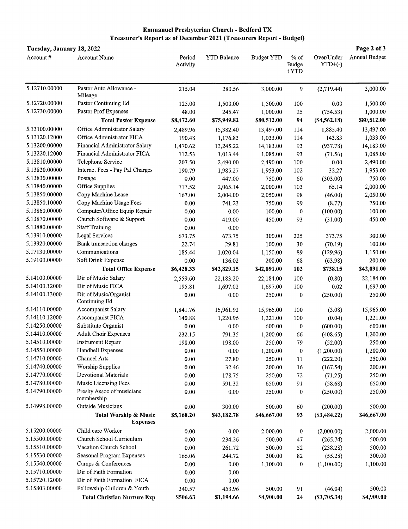#### Emmanuel Presbyterian Church - Bedford TX Treasurer's Report as of December 2021 (Treasurers Report - Budget)

| Tuesday, January 18, 2022 |                                          |                    |                    |                   |                          |                         | Page 2 of 3          |
|---------------------------|------------------------------------------|--------------------|--------------------|-------------------|--------------------------|-------------------------|----------------------|
| Account $#$               | <b>Account Name</b>                      | Period<br>Activity | <b>YTD Balance</b> | <b>Budget YTD</b> | $%$ of<br>Budge<br>t YTD | Over/Under<br>$YTD+(-)$ | <b>Annual Budget</b> |
| 5.12710.00000             | Pastor Auto Allowance -<br>Mileage       | 215.04             | 280.56             | 3,000.00          | 9                        | (2,719.44)              | 3,000.00             |
| 5.12720.00000             | Pastor Continuing Ed                     | 125.00             | 1,500.00           | 1,500.00          | 100                      | 0.00                    | 1,500.00             |
| 5.12730.00000             | Pastor Prof Expenses                     | 48.00              | 245.47             | 1,000.00          | 25                       | (754.53)                | 1,000.00             |
|                           | <b>Total Pastor Expense</b>              | \$8,472.60         | \$75,949.82        | \$80,512.00       | 94                       | (\$4,562.18)            | \$80,512.00          |
| 5.13100.00000             | Office Administrator Salary              | 2,489.96           | 15,382.40          | 13,497.00         | 114                      | 1,885.40                | 13,497.00            |
| 5.13120.12000             | Office Administrator FICA                | 190.48             | 1,176.83           | 1,033.00          | 114                      | 143.83                  | 1,033.00             |
| 5.13200.00000             | Financial Administrator Salary           | 1,470.62           | 13,245.22          | 14,183.00         | 93                       | (937.78)                | 14,183.00            |
| 5.13220.12000             | Financial Administrator FICA             | 112.53             | 1,013.44           | 1,085.00          | 93                       | (71.56)                 | 1,085.00             |
| 5.13810.00000             | Telephone Service                        | 207.50             | 2,490.00           | 2,490.00          | 100                      | 0.00                    | 2,490.00             |
| 5.13820.00000             | Internet Fees - Pay Pal Charges          | 190.79             | 1,985.27           | 1,953.00          | 102                      | 32.27                   | 1,953.00             |
| 5.13830.00000             | Postage                                  | 0.00               | 447.00             | 750.00            | 60                       | (303.00)                | 750.00               |
| 5.13840.00000             | Office Supplies                          | 717.52             | 2,065.14           | 2,000.00          | 103                      | 65.14                   | 2,000.00             |
| 5.13850.00000             | Copy Machine Lease                       | 167.00             | 2,004.00           | 2,050.00          | 98                       | (46.00)                 | 2,050.00             |
| 5.13850.10000             | Copy Machine Usage Fees                  | $0.00\,$           | 741.23             | 750.00            | 99                       | (8.77)                  | 750.00               |
| 5.13860.00000             | Computer/Office Equip Repair             | 0.00               | 0.00               | 100.00            | $\bf{0}$                 | (100.00)                | 100.00               |
| 5.13870.00000             | Church Software & Support                | 0.00               | 419.00             | 450.00            | 93                       | (31.00)                 | 450.00               |
| 5.13880.00000             | <b>Staff Training</b>                    | 0.00               | 0.00               |                   |                          |                         |                      |
| 5.13910.00000             | Legal Services                           | 673.75             | 673.75             | 300.00            | 225                      | 373.75                  | 300.00               |
| 5.13920.00000             | Bank transaction charges                 | 22.74              | 29.81              | 100.00            | 30                       | (70.19)                 | 100.00               |
| 5.17130.00000             | Communications                           | 185.44             | 1,020.04           | 1,150.00          | 89                       | (129.96)                | 1,150.00             |
| 5.19100.00000             | Soft Drink Expense                       | 0.00               | 136.02             | 200.00            | 68                       | (63.98)                 | 200.00               |
|                           | <b>Total Office Expense</b>              | \$6,428.33         | \$42,829.15        | \$42,091.00       | 102                      | \$738.15                | \$42,091.00          |
| 5.14100.00000             | Dir of Music Salary                      | 2,559.60           | 22,183.20          | 22,184.00         | 100                      | (0.80)                  | 22,184.00            |
| 5.14100.12000             | Dir of Music FICA                        | 195.81             | 1,697.02           | 1,697.00          | 100                      | 0.02                    | 1,697.00             |
| 5.14100.13000             | Dir of Music/Organist<br>Continuing Ed   | 0.00               | 0.00               | 250.00            | $\bf{0}$                 | (250.00)                | 250.00               |
| 5.14110.00000             | Accompanist Salary                       | 1,841.76           | 15,961.92          | 15,965.00         | 100                      | (3.08)                  | 15,965.00            |
| 5.14110.12000             | Accompanist FICA                         | 140.88             | 1,220.96           | 1,221.00          | 100                      | (0.04)                  | 1,221.00             |
| 5.14250.00000             | Substitute Organist                      | 0.00               | 0.00               | 600.00            | $\bf{0}$                 | (600.00)                | 600.00               |
| 5.14410.00000             | <b>Adult Choir Expenses</b>              | 232.15             | 791.35             | 1,200.00          | 66                       | (408.65)                | 1,200.00             |
| 5.14510.00000             | <b>Instrument Repair</b>                 | 198.00             | 198.00             | 250.00            | 79                       | (52.00)                 | 250.00               |
| 5.14550.00000             | Handbell Expenses                        | 0.00               | 0.00               | 1,200.00          | $\mathbf 0$              | (1,200.00)              | 1,200.00             |
| 5.14710.00000             | <b>Chancel Arts</b>                      | 0.00               | 27.80              | 250.00            | 11                       | (222.20)                | 250.00               |
| 5.14740.00000             | Worship Supplies                         | 0.00               | 32.46              | 200.00            | 16                       | (167.54)                | 200.00               |
| 5.14770.00000             | <b>Devotional Materials</b>              | 0.00               | 178.75             | 250.00            | $72\,$                   | (71.25)                 | 250.00               |
| 5.14780.00000             | Music Licensing Fees                     | 0.00               | 591.32             | 650.00            | 91                       | (58.68)                 | 650.00               |
| 5.14790.00000             | Presby Assoc of musicians<br>membership  | 0.00               | 0.00               | 250.00            | 0                        | (250.00)                | 250.00               |
| 5.14998.00000             | Outside Musicians                        | 0.00               | 300.00             | 500.00            | 60                       | (200.00)                | 500.00               |
|                           | Total Worship & Music<br><b>Expenses</b> | \$5,168.20         | \$43,182.78        | \$46,667.00       | 93                       | (\$3,484.22)            | \$46,667.00          |
| 5.15200.00000             | Child care Worker                        | 0.00               | 0.00               | 2,000.00          | $\bf{0}$                 | (2,000.00)              | 2,000.00             |
| 5.15500.00000             | Church School Curriculum                 | 0.00               | 234.26             | 500.00            | 47                       | (265.74)                | 500.00               |
| 5.15510.00000             | Vacation Church School                   | 0.00               | 261.72             | 500.00            | 52                       | (238.28)                | 500.00               |
| 5.15530.00000             | Seasonal Program Expenses                | 166.06             | 244.72             | 300.00            | 82                       | (55.28)                 | 300.00               |
| 5.15540.00000             | Camps & Conferences                      | 0.00               | 0.00               | 1,100.00          | 0                        | (1,100.00)              | 1,100.00             |
| 5.15710.00000             | Dir of Faith Formation                   | 0.00               | 0.00               |                   |                          |                         |                      |
| 5.15720.12000             | Dir of Faith Formation FICA              | 0.00               | 0.00               |                   |                          |                         |                      |
| 5.15803.00000             | Fellowship Children & Youth              | 340.57             | 453.96             | 500.00            | 91                       | (46.04)                 | 500.00               |
|                           | <b>Total Christian Nurture Exp</b>       | \$506.63           | \$1,194.66         | \$4,900.00        | 24                       | $($ \$3,705.34 $)$      | \$4,900.00           |
|                           |                                          |                    |                    |                   |                          |                         |                      |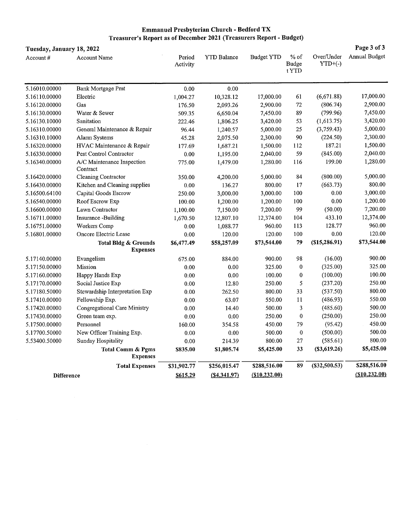#### $\bf{Emmanuel \: Presbyterian \: Church\text{-} \: Bedford \: TX}$ Treasurer's Report as of December 2021 (Treasurers Report - Budget)

## Tuesday, January 18, 2022 Page 3 of 3

| 1 uvsua 19<br>Account $#$ | <b>Account Name</b>                             | Period<br>Activity | <b>YTD Balance</b> | <b>Budget YTD</b> | $%$ of<br><b>Budge</b><br>t YTD | Over/Under<br>$YTD+(-)$ | Annual Budget   |
|---------------------------|-------------------------------------------------|--------------------|--------------------|-------------------|---------------------------------|-------------------------|-----------------|
| 5.16010.00000             | Bank Mortgage Pmt                               | 0.00               | 0.00               |                   |                                 |                         |                 |
| 5.16110.00000             | Electric                                        | 1,004.27           | 10,328.12          | 17,000.00         | 61                              | (6,671.88)              | 17,000.00       |
| 5.16120.00000             | Gas                                             | 176.50             | 2,093.26           | 2,900.00          | 72                              | (806.74)                | 2,900.00        |
| 5.16130.00000             | Water & Sewer                                   | 509.35             | 6,650.04           | 7,450.00          | 89                              | (799.96)                | 7,450.00        |
| 5.16130.10000             | Sanitation                                      | 222.46             | 1,806.25           | 3,420.00          | 53                              | (1,613.75)              | 3,420.00        |
| 5.16310.00000             | General Maintenance & Repair                    | 96.44              | 1,240.57           | 5,000.00          | 25                              | (3,759.43)              | 5,000.00        |
| 5.16310.10000             | Alarm Systems                                   | 45.28              | 2,075.50           | 2,300.00          | 90                              | (224.50)                | 2,300.00        |
| 5.16320.00000             | HVAC Maintenance & Repair                       | 177.69             | 1,687.21           | 1,500.00          | 112                             | 187.21                  | 1,500.00        |
| 5.16330.00000             | Pest Control Contractor                         | 0.00               | 1,195.00           | 2,040.00          | 59                              | (845.00)                | 2,040.00        |
| 5.16340.00000             | A/C Maintenance Inspection<br>Contract          | 775.00             | 1,479.00           | 1,280.00          | 116                             | 199.00                  | 1,280.00        |
| 5.16420.00000             | Cleaning Contractor                             | 350.00             | 4,200.00           | 5,000.00          | 84                              | (800.00)                | 5,000.00        |
| 5.16430.00000             | Kitchen and Cleaning supplies                   | 0.00               | 136.27             | 800.00            | 17                              | (663.73)                | 800.00          |
| 5.16500.64100             | Capital Goods Escrow                            | 250.00             | 3,000.00           | 3,000.00          | 100                             | 0.00                    | 3,000.00        |
| 5.16540.00000             | Roof Escrow Exp                                 | 100.00             | 1,200.00           | 1,200.00          | 100                             | 0.00                    | 1,200.00        |
| 5.16600.00000             | Lawn Contractor                                 | 1,100.00           | 7,150.00           | 7,200.00          | 99                              | (50.00)                 | 7,200.00        |
| 5.16711.00000             | Insurance -Building                             | 1,670.50           | 12,807.10          | 12,374.00         | 104                             | 433.10                  | 12,374.00       |
| 5.16751.00000             | Workers Comp                                    | 0.00               | 1,088.77           | 960.00            | 113                             | 128.77                  | 960.00          |
| 5.16801.00000             | Oncore Electric Lease                           | 0.00               | 120.00             | 120.00            | 100                             | 0.00                    | 120.00          |
|                           | Total Bldg & Grounds<br><b>Expenses</b>         | \$6,477.49         | \$58,257.09        | \$73,544.00       | 79                              | (\$15,286.91)           | \$73,544.00     |
| 5.17140.00000             | Evangelism                                      | 675.00             | 884.00             | 900.00            | 98                              | (16.00)                 | 900.00          |
| 5.17150.00000             | Mission                                         | 0.00               | 0.00               | 325.00            | 0                               | (325.00)                | 325.00          |
| 5.17160.00000             | Happy Hands Exp                                 | 0.00               | 0.00               | 100.00            | $\bf{0}$                        | (100.00)                | 100.00          |
| 5.17170.00000             | Social Justice Exp                              | 0.00               | 12.80              | 250.00            | 5                               | (237.20)                | 250.00          |
| 5.17180.50000             | Stewardship Interpretation Exp                  | 0.00               | 262.50             | 800.00            | 33                              | (537.50)                | 800.00          |
| 5.17410.00000             | Fellowship Exp.                                 | 0.00               | 63.07              | 550.00            | 11                              | (486.93)                | 550.00          |
| 5.17420.00000             | Congregational Care Ministry                    | 0.00               | 14.40              | 500.00            | 3                               | (485.60)                | 500.00          |
| 5.17430.00000             | Green team exp.                                 | 0.00               | 0.00               | 250.00            | $\boldsymbol{0}$                | (250.00)                | 250.00          |
| 5.17500.00000             | Personnel                                       | 160.00             | 354.58             | 450.00            | 79                              | (95.42)                 | 450.00          |
| 5.17700.50000             | New Officer Training Exp.                       | 0.00               | 0.00               | 500.00            | $\bf{0}$                        | (500.00)                | 500.00          |
| 5.53400.50000             | Sunday Hospitality                              | 0.00               | 214.39             | 800.00            | 27                              | (585.61)                | 800.00          |
|                           | <b>Total Comm &amp; Pgms</b><br><b>Expenses</b> | \$835.00           | \$1,805.74         | \$5,425.00        | 33                              | $($ \$3,619.26 $)$      | \$5,425.00      |
|                           | <b>Total Expenses</b>                           | \$31,902.77        | \$256,015.47       | \$288,516.00      | 89                              | (\$32,500.53)           | \$288,516.00    |
| <b>Difference</b>         |                                                 | \$615.29           | ( \$4,341.97)      | ( \$10, 232.00)   |                                 |                         | ( \$10, 232.00) |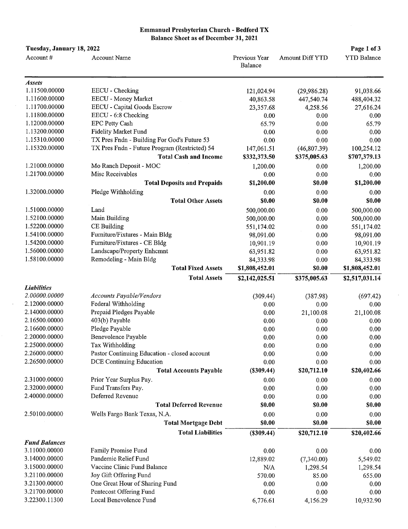#### Emmanuel Presbyterian Church - Bedford TX Balance Sheet as of December 31, 2021

 $\sim$ 

| Tuesday, January 18, 2022 |                                                |                          |                 | Page 1 of 3        |
|---------------------------|------------------------------------------------|--------------------------|-----------------|--------------------|
| Account #                 | <b>Account Name</b>                            | Previous Year<br>Balance | Amount Diff YTD | <b>YTD Balance</b> |
| <b>Assets</b>             |                                                |                          |                 |                    |
| 1.11500.00000             | EECU - Checking                                | 121,024.94               | (29,986.28)     | 91,038.66          |
| 1.11600.00000             | EECU - Money Market                            | 40,863.58                | 447,540.74      | 488,404.32         |
| 1.11700.00000             | <b>EECU</b> - Capital Goods Escrow             | 23,357.68                | 4,258.56        | 27,616.24          |
| 1.11800.00000             | EECU - 6:8 Checking                            | 0.00                     | 0.00            | 0.00               |
| 1.12000.00000             | <b>EPC Petty Cash</b>                          | 65.79                    | 0.00            | 65.79              |
| 1.13200.00000             | <b>Fidelity Market Fund</b>                    | 0.00                     | 0.00            | 0.00               |
| 1.15310.00000             | TX Pres Fndn - Building For God's Future 53    | 0.00                     | 0.00            | 0.00               |
| 1.15320.00000             | TX Pres Fndn - Future Program (Restricted) 54  | 147,061.51               | (46,807.39)     | 100,254.12         |
|                           | <b>Total Cash and Income</b>                   | \$332,373.50             | \$375,005.63    | \$707,379.13       |
| 1.21000.00000             | Mo Ranch Deposit - MOC                         | 1,200.00                 | 0.00            | 1,200.00           |
| 1.21700.00000             | Misc Receivables                               | 0.00                     | 0.00            | 0.00               |
|                           | <b>Total Deposits and Prepaids</b>             | \$1,200.00               | \$0.00          | \$1,200.00         |
| 1.32000.00000             | Pledge Withholding                             | 0.00                     | 0.00            | 0.00               |
|                           | <b>Total Other Assets</b>                      | \$0.00                   | \$0.00          | \$0.00             |
| 1.51000.00000             | Land                                           | 500,000.00               | 0.00            | 500,000.00         |
| 1.52100.00000             | Main Building                                  | 500,000.00               | 0.00            | 500,000.00         |
| 1.52200.00000             | CE Building                                    | 551,174.02               | 0.00            | 551,174.02         |
| 1.54100.00000             | Furniture/Fixtures - Main Bldg                 | 98,091.00                | 0.00            | 98,091.00          |
| 1.54200.00000             | Furniture/Fixtures - CE Bldg                   | 10,901.19                | 0.00            | 10,901.19          |
| 1.56000.00000             | Landscape/Property Enhcmnt                     | 63,951.82                | 0.00            | 63,951.82          |
| 1.58100.00000             | Remodeling - Main Bldg                         | 84,333.98                | 0.00            | 84,333.98          |
|                           | <b>Total Fixed Assets</b>                      | \$1,808,452.01           | \$0.00          | \$1,808,452.01     |
|                           | <b>Total Assets</b>                            | \$2,142,025.51           | \$375,005.63    | \$2,517,031.14     |
| <b>Liabilities</b>        |                                                |                          |                 |                    |
| 2.00000.00000             | Accounts Payable/Vendors                       | (309.44)                 | (387.98)        | (697.42)           |
| 2.12000.00000             | Federal Withholding                            | 0.00                     | 0.00            | 0.00               |
| 2.14000.00000             | Prepaid Pledges Payable                        | 0.00                     | 21,100.08       | 21,100.08          |
| 2.16500.00000             | 403(b) Payable                                 | 0.00                     | 0.00            | 0.00               |
| 2.16600.00000             | Pledge Payable                                 | 0.00                     | 0.00            | 0.00               |
| 2.20000.00000             | Benevolence Payable                            | 0.00                     | 0.00            | 0.00               |
| 2.25000.00000             | Tax Withholding                                | 0.00                     | 0.00            | 0.00               |
| 2.26000.00000             | Pastor Continuing Education - closed account   | 0.00                     | 0.00            | 0.00               |
| 2.26500.00000             | DCE Continuing Education                       | 0.00                     | 0.00            | 0.00               |
|                           | <b>Total Accounts Payable</b>                  | (\$309.44)               | \$20,712.10     | \$20,402.66        |
| 2.31000.00000             |                                                |                          |                 |                    |
| 2.32000.00000             | Prior Year Surplus Pay.<br>Fund Transfers Pay. | 0.00                     | 0.00            | 0.00               |
| 2.40000.00000             | Deferred Revenue                               | 0.00<br>0.00             | 0.00            | 0.00               |
|                           | <b>Total Deferred Revenue</b>                  | \$0.00                   | 0.00<br>\$0.00  | 0.00<br>\$0.00     |
|                           |                                                |                          |                 |                    |
| 2.50100.00000             | Wells Fargo Bank Texas, N.A.                   | 0.00                     | 0.00            | 0.00               |
|                           | <b>Total Mortgage Debt</b>                     | \$0.00                   | \$0.00          | \$0.00             |
|                           | <b>Total Liabilities</b>                       | (\$309.44)               | \$20,712.10     | \$20,402.66        |
| <b>Fund Balances</b>      |                                                |                          |                 |                    |
| 3.11000.00000             | Family Promise Fund                            | 0.00                     | 0.00            | 0.00               |
| 3.14000.00000             | Pandemic Relief Fund                           | 12,889.02                | (7,340.00)      | 5,549.02           |
| 3.15000.00000             | Vaccine Clinic Fund Balance                    | N/A                      | 1,298.54        | 1,298.54           |
| 3.21100.00000             | Joy Gift Offering Fund                         | 570.00                   | 85.00           | 655.00             |
| 3.21300.00000             | One Great Hour of Sharing Fund                 | 0.00                     | 0.00            | 0.00               |
| 3.21700.00000             | Pentecost Offering Fund                        | 0.00                     | 0.00            | 0.00               |
| 3.22300.11300             | Local Benevolence Fund                         | 6,776.61                 | 4,156.29        | 10,932.90          |

 $\hat{\mathcal{A}}$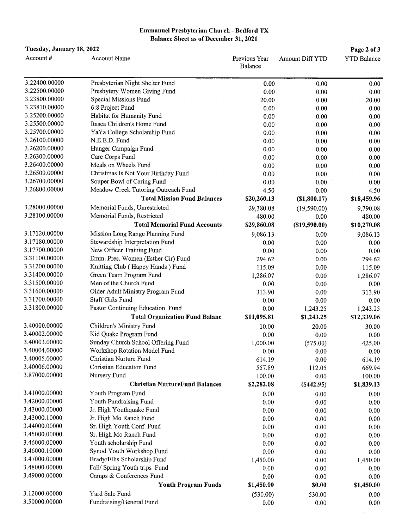#### Emmanuel Presbyterian Church - Bedford TX Balance Sheet as of December 31, 2021

| Tuesday, January 18, 2022 |                                       |                          |                        | Page 2 of 3        |
|---------------------------|---------------------------------------|--------------------------|------------------------|--------------------|
| Account $#$               | Account Name                          | Previous Year<br>Balance | <b>Amount Diff YTD</b> | <b>YTD Balance</b> |
| 3.22400.00000             | Presbyterian Night Shelter Fund       | 0.00                     | 0.00                   | 0.00               |
| 3.22500.00000             | Presbytery Women Giving Fund          | 0.00                     | 0.00                   | 0.00               |
| 3.23800.00000             | Special Missions Fund                 | 20.00                    | 0.00                   | 20.00              |
| 3.23810.00000             | 6:8 Project Fund                      | 0.00                     | 0.00                   | 0.00               |
| 3.25200.00000             | Habitat for Humanity Fund             | 0.00                     | 0.00                   | 0.00               |
| 3.25500.00000             | Itasca Children's Home Fund           | 0.00                     | 0.00                   | 0.00               |
| 3.25700.00000             | YaYa College Scholarship Fund         | 0.00                     | 0.00                   | 0.00               |
| 3.26100.00000             | N.E.E.D. Fund                         | 0.00                     | 0.00                   | 0.00               |
| 3.26200.00000             | Hunger Campaign Fund                  | 0.00                     | 0.00                   | 0.00               |
| 3.26300.00000             | Care Corps Fund                       | 0.00                     | 0.00                   | 0.00               |
| 3.26400.00000             | Meals on Wheels Fund                  | 0.00                     | 0.00                   | 0.00               |
| 3.26500.00000             | Christmas Is Not Your Birthday Fund   | 0.00                     | 0.00                   | 0.00               |
| 3.26700.00000             | Souper Bowl of Caring Fund            | 0.00                     | 0.00                   | 0.00               |
| 3.26800.00000             | Meadow Creek Tutoring Outreach Fund   | 4.50                     | 0.00                   | 4.50               |
|                           | <b>Total Mission Fund Balances</b>    | \$20,260.13              | (\$1,800.17)           | \$18,459.96        |
| 3.28000.00000             | Memorial Funds, Unrestricted          | 29,380.08                | (19,590.00)            | 9,790.08           |
| 3.28100.00000             | Memorial Funds, Restricted            | 480.00                   | 0.00                   | 480.00             |
|                           | <b>Total Memorial Fund Accounts</b>   | \$29,860.08              | $($ \$19,590.00)       | \$10,270.08        |
| 3.17120.00000             | Mission Long Range Planning Fund      | 9,086.13                 | 0.00                   | 9,086.13           |
| 3.17180.00000             | Stewardship Interpretation Fund       | 0.00                     | 0.00                   | 0.00               |
| 3.17700.00000             | New Officer Training Fund             | 0.00                     | 0.00                   | 0.00               |
| 3.31100.00000             | Emm. Pres. Women (Esther Cir) Fund    | 294.62                   | 0.00                   | 294.62             |
| 3.31200.00000             | Knitting Club (Happy Hands) Fund      | 115.09                   | 0.00                   | 115.09             |
| 3.31400.00000             | Green Team Program Fund               | 1,286.07                 | 0.00                   | 1,286.07           |
| 3.31500.00000             | Men of the Church Fund                | 0.00                     | 0.00                   | 0.00               |
| 3.31600.00000             | Older Adult Ministry Program Fund     | 313.90                   | 0.00                   | 313.90             |
| 3.31700.00000             | <b>Staff Gifts Fund</b>               | 0.00                     | 0.00                   | 0.00               |
| 3.31800.00000             | Pastor Continuing Education Fund      | 0.00                     | 1,243.25               | 1,243.25           |
|                           | <b>Total Organization Fund Balanc</b> | \$11,095.81              | \$1,243.25             | \$12,339.06        |
| 3.40000.00000             | Children's Ministry Fund              | 10.00                    | 20.00                  | 30.00              |
| 3.40002.00000             | Kid Quake Program Fund                | 0.00                     | 0.00                   | 0.00               |
| 3.40003.00000             | Sunday Church School Offering Fund    | 1,000.00                 | (575.00)               | 425.00             |
| 3.40004.00000             | Workshop Rotation Model Fund          | 0.00                     | 0.00                   | 0.00               |
| 3.40005.00000             | Christian Nurture Fund                | 614.19                   | 0.00                   | 614.19             |
| 3.40006.00000             | Christian Education Fund              | 557.89                   | 112.05                 | 669.94             |
| 3.87000.00000             | Nursery Fund                          | 100.00                   | 0.00                   | 100.00             |
|                           | <b>Christian NurtureFund Balances</b> | \$2,282.08               | (\$442.95)             | \$1,839.13         |
| 3.41000.00000             | Youth Program Fund                    | 0.00                     | 0.00                   | 0.00               |
| 3.42000.00000             | Youth Fundraising Fund                | 0.00                     | 0.00                   | 0.00               |
| 3.43000.00000             | Jr. High Youthquake Fund              | 0.00                     | 0.00                   | 0.00               |
| 3.43000.10000             | Jr. High Mo Ranch Fund                | 0.00                     | 0.00                   | 0.00               |
| 3.44000.00000             | Sr. High Youth Conf. Fund             | 0.00                     | 0.00                   | 0.00               |
| 3.45000.00000             | Sr. High Mo Ranch Fund                | 0.00                     | 0.00                   | 0.00               |
| 3.46000.00000             | Youth scholarship Fund                | 0.00                     | 0.00                   | 0.00               |
| 3.46000.10000             | Synod Youth Workshop Fund             | 0.00                     | 0.00                   | 0.00               |
| 3.47000.00000             | Brady/Ellis Scholarship Fund          | 1,450.00                 | 0.00                   | 1,450.00           |
| 3.48000.00000             | Fall/ Spring Youth trips Fund         | 0.00                     | 0.00                   | 0.00               |
| 3.49000.00000             | Camps & Conferences Fund              | 0.00                     | 0.00                   | 0.00               |
|                           | <b>Youth Program Funds</b>            | \$1,450.00               | \$0.00                 | \$1,450.00         |
| 3.12000.00000             | Yard Sale Fund                        |                          | 530.00                 | 0.00               |
| 3.50000.00000             | Fundraising/General Fund              | (530.00)                 |                        |                    |
|                           |                                       | 0.00                     | 0.00                   | 0.00               |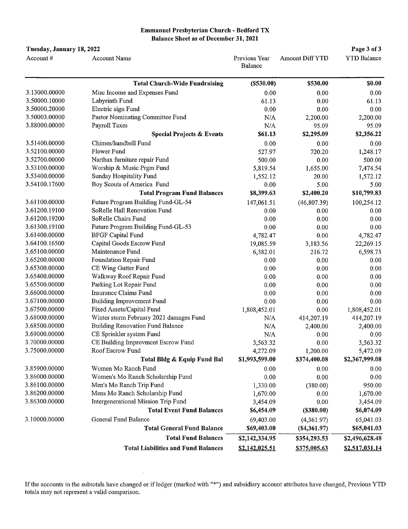#### Emmanuel Presbyterian Church - Bedford TX Balance Sheet as of December 31, 2021

| Tuesday, January 18, 2022 |                                            |                          |                        | Page 3 of 3        |
|---------------------------|--------------------------------------------|--------------------------|------------------------|--------------------|
| Account#                  | <b>Account Name</b>                        | Previous Year<br>Balance | <b>Amount Diff YTD</b> | <b>YTD Balance</b> |
|                           | <b>Total Church-Wide Fundraising</b>       | (\$530.00)               | \$530.00               | \$0.00             |
| 3.13000.00000             | Misc Income and Expenses Fund              | 0.00                     | 0.00                   | 0.00               |
| 3.50000.10000             | Labyrinth Fund                             | 61.13                    | 0.00                   | 61.13              |
| 3.50000.20000             | Electric sign Fund                         | 0.00                     | 0.00                   | 0.00               |
| 3.50003.00000             | Pastor Nominating Committee Fund           | N/A                      | 2,200.00               | 2,200.00           |
| 3.88000.00000             | Payroll Taxes                              | N/A                      | 95.09                  | 95.09              |
|                           | <b>Special Projects &amp; Events</b>       | \$61.13                  | \$2,295.09             | \$2,356.22         |
| 3.51400.00000             | Chimes/handbell Fund                       | 0.00                     | 0.00                   | 0.00               |
| 3.52100.00000             | Flower Fund                                | 527.97                   | 720.20                 | 1,248.17           |
| 3.52700.00000             | Narthax furniture repair Fund              | 500.00                   | 0.00                   | 500.00             |
| 3.53100.00000             | Worship & Music Prgm Fund                  | 5,819.54                 | 1,655.00               | 7,474.54           |
| 3.53400.00000             | Sunday Hospitality Fund                    | 1,552.12                 | 20.00                  | 1,572.12           |
| 3.54100.17600             | Boy Scouts of America Fund                 | 0.00                     | 5.00                   | 5.00               |
|                           | <b>Total Program Fund Balances</b>         | \$8,399.63               | \$2,400.20             | \$10,799.83        |
| 3.61100.00000             | Future Program Building Fund-GL-54         | 147,061.51               | (46, 807.39)           | 100,254.12         |
| 3.61200.19100             | SoRelle Hall Renovation Fund               | 0.00                     | 0.00                   | 0.00               |
| 3.61200.19200             | SoRelle Chairs Fund                        | 0.00                     | 0.00                   | 0.00               |
| 3.61300.19100             | Future Program Building Fund-GL-53         | 0.00                     | 0.00                   | 0.00               |
| 3.61400.00000             | <b>BFGF Capital Fund</b>                   | 4,782.47                 | 0.00                   | 4,782.47           |
| 3.64100.16500             | Capital Goods Escrow Fund                  | 19,085.59                | 3,183.56               | 22,269.15          |
| 3.65100.00000             | Maintenance Fund                           | 6,382.01                 | 216.72                 | 6,598.73           |
| 3.65200.00000             | Foundation Repair Fund                     | 0.00                     | 0.00                   | 0.00               |
| 3.65300.00000             | CE Wing Gutter Fund                        | 0.00                     | 0.00                   | 0.00               |
| 3.65400.00000             | Walkway Roof Repair Fund                   | 0.00                     | 0.00                   | 0.00               |
| 3.65500.00000             | Parking Lot Repair Fund                    | 0.00                     | 0.00                   | 0.00               |
| 3.66000.00000             | <b>Insurance Claims Fund</b>               | 0.00                     | 0.00                   | 0.00               |
| 3.67100.00000             | <b>Building Improvement Fund</b>           | 0.00                     | 0.00                   | 0.00               |
| 3.67500.00000             | Fixed Assets/Capital Fund                  | 1,808,452.01             | 0.00                   | 1,808,452.01       |
| 3.68000.00000             | Winter storm February 2021 damages Fund    | N/A                      | 414,207.19             | 414,207.19         |
| 3.68500.00000             | <b>Building Renovation Fund Balance</b>    | N/A                      | 2,400.00               | 2,400.00           |
| 3.69000.00000             | CE Sprinkler system Fund                   | N/A                      | 0.00                   | 0.00               |
| 3.70000.00000             | CE Building Improvment Escrow Fund         | 3,563.32                 | 0.00                   | 3,563.32           |
| 3.75000.00000             | Roof Escrow Fund                           | 4,272.09                 | 1,200.00               | 5,472.09           |
|                           | Total Bldg & Equip Fund Bal                | \$1,993,599.00           | \$374,400.08           | \$2,367,999.08     |
| 3.85900.00000             | Women Mo Ranch Fund                        | 0.00                     | 0.00                   | 0.00               |
| 3.86000.00000             | Women's Mo Ranch Scholarship Fund          | 0.00                     | 0.00                   | 0.00               |
| 3.86100.00000             | Men's Mo Ranch Trip Fund                   | 1,330.00                 | (380.00)               | 950.00             |
| 3.86200.00000             | Mens Mo Ranch Scholarship Fund             | 1,670.00                 | 0.00                   | 1,670.00           |
| 3.86300.00000             | Intergenerational Mission Trip Fund        | 3,454.09                 | 0.00                   | 3,454.09           |
|                           | <b>Total Event Fund Balances</b>           | \$6,454.09               | (\$380.00)             | \$6,074.09         |
|                           |                                            |                          |                        |                    |
| 3.10000.00000             | General Fund Balance                       | 69,403.00                | (4,361.97)             | 65,041.03          |
|                           | <b>Total General Fund Balance</b>          | \$69,403.00              | $(\$4,361.97)$         | \$65,041.03        |
|                           | <b>Total Fund Balances</b>                 | \$2,142,334.95           | \$354,293.53           | \$2,496,628.48     |
|                           | <b>Total Liabilities and Fund Balances</b> | \$2,142,025.51           | \$375,005.63           | \$2,517,031.14     |

If the accounts in the subtotals have changed or ifledger (marked with "\*") and subsidiary account attributes have changed, Previous YTD totals may not represent a valid comparison.

 $\hat{\mathcal{A}}$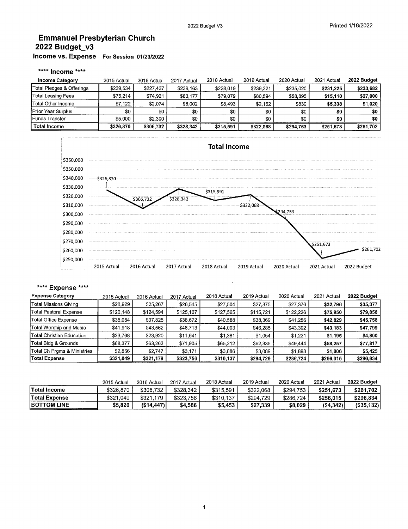## Emmanuel Presbyterian Church 2022 Budget\_v3 Income vs. Expense For Session 01/23/2022

# \*\*\*\* Income \*\*\*\*

| <b>Income Category</b>    | 2015 Actual | 2016 Actual | 2017 Actual | 2018 Actual | 2019 Actual | 2020 Actual | 2021 Actual | 2022 Budget |
|---------------------------|-------------|-------------|-------------|-------------|-------------|-------------|-------------|-------------|
| Total Pledges & Offerings | \$239,534   | \$227,437   | \$239,163   | \$228,019   | \$239.321   | \$235.020   | \$231,225   | \$233,682   |
| Total Leasing Fees        | \$75,214    | \$74,921    | \$83,177    | \$79.079    | \$80,594    | \$58,895    | \$15,110    | \$27,000    |
| Total Other Income        | \$7,122     | \$2,074     | \$6,002     | \$8,493     | \$2,152     | \$839       | \$5,338     | \$1,020     |
| <b>Prior Year Surplus</b> | \$0         | \$0         | \$0         | \$0         | \$0         | \$0         | \$0         | S0          |
| l Funds Transfer          | \$5.000     | \$2.300     | \$0         | \$0         | \$0         | \$0         | \$0         | \$0         |
| l Total Income            | \$326,870   | \$306,732   | \$328,342   | \$315,591   | \$322,068   | \$294.753   | \$251,673   | \$261,702   |



#### \*\*\*\* Expense \*\*\*\*

| <b>Expense Category</b>     | 2015 Actual | 2016 Actual | 2017 Actual | 2018 Actual | 2019 Actual | 2020 Actual | 2021 Actual | 2022 Budget |
|-----------------------------|-------------|-------------|-------------|-------------|-------------|-------------|-------------|-------------|
| Total Missions Giving       | \$28,929    | \$25,267    | \$26,545    | \$27,504    | \$27,875    | \$27,376    | \$32,796    | \$35,377    |
| Total Pastoral Expense      | \$120,148   | \$124.594   | \$125,107   | \$127,565   | \$115,721   | \$122,226   | \$75,950    | \$79,858    |
| Total Office Expense        | \$35,054    | \$37,825    | \$38,672    | \$40,588    | \$38,369    | \$41,256    | \$42,829    | \$45,758    |
| Total Worship and Music     | \$41.918    | \$43,562    | \$46,713    | \$44,003    | \$46,285    | \$43,302    | \$43,183    | \$47,799    |
| Total Christian Education   | \$23,768    | \$23,920    | \$11,641    | \$1,381     | \$1,054     | \$1,221     | \$1,195     | \$4,800     |
| Total Bldg & Grounds        | \$68,377    | \$63,263    | \$71,905    | \$65,212    | \$62,335    | \$49,444    | \$58,257    | \$77,817    |
| Total Ch Prgms & Ministries | \$2,856     | \$2,747     | \$3,171     | \$3,886     | \$3,089     | \$1,898     | \$1,806     | \$5,425     |
| Total Expense               | \$321.049   | \$321,179   | \$323,756   | \$310,137   | \$294.729   | \$286,724   | \$256.015   | \$296,834   |

|                      | 2015 Actual | 2016 Actual | 2017 Actual | 2018 Actual | 2019 Actual | 2020 Actual | 2021 Actual | 2022 Budget   |
|----------------------|-------------|-------------|-------------|-------------|-------------|-------------|-------------|---------------|
| <b>Total Income</b>  | \$326.870   | \$306.732   | \$328.342   | \$315.591   | \$322.068   | \$294.753   | \$251.673   | \$261.702     |
| <b>Total Expense</b> | \$321,049   | \$321.179   | \$323.756   | \$310,137   | \$294,729   | \$286,724   | \$256.015   | \$296.834     |
| <b>IBOTTOM LINE</b>  | \$5,820     | (\$14.447)  | \$4,586     | \$5,453     | \$27,339    | \$8,029     | ( \$4,342)  | $($ \$35.132) |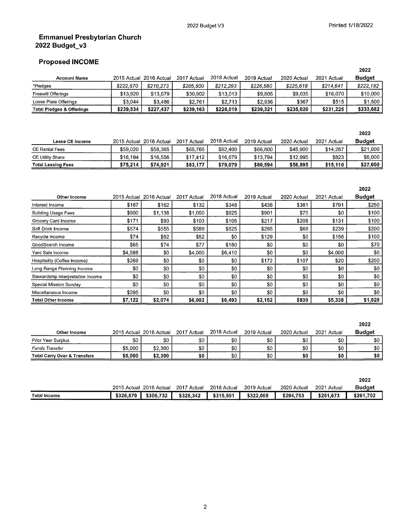#### Emmanuel Presbyterian Church 2022 Budget\_v3

### Proposed INCOME

|                                      |           |                         |             |             |             |             |             | 2022          |
|--------------------------------------|-----------|-------------------------|-------------|-------------|-------------|-------------|-------------|---------------|
| <b>Account Name</b>                  |           | 2015 Actual 2016 Actual | 2017 Actual | 2018 Actual | 2019 Actual | 2020 Actual | 2021 Actual | <b>Budget</b> |
| *Pledges                             | \$222.570 | \$210.273               | \$205,500   | \$212.293   | \$226,580   | \$225.618   | \$214.641   | \$222.182     |
| <b>Freewill Offerings</b>            | \$13.920  | \$13.679                | \$30,902    | \$13.013    | \$9,805     | \$9,035     | \$16,070    | \$10,000      |
| Loose Plate Offerings                | \$3.044   | \$3,486                 | \$2,761     | \$2,713     | \$2.936     | \$367       | \$515       | \$1,500       |
| <b>Total Pledges &amp; Offerings</b> | \$239.534 | \$227.437               | \$239,163   | \$228.019   | \$239.321   | \$235,020   | \$231.225   | \$233,682     |

|                           |          |                         |             |             |             |             |             | 2022          |
|---------------------------|----------|-------------------------|-------------|-------------|-------------|-------------|-------------|---------------|
| <b>Lease CE Income</b>    |          | 2015 Actual 2016 Actual | 2017 Actual | 2018 Actual | 2019 Actual | 2020 Actual | 2021 Actual | <b>Budget</b> |
| CE Rental Fees            | \$59.020 | \$58,365                | \$65,765    | \$62,400    | \$66,800    | \$45,900    | \$14.287    | \$21,000      |
| CE Utility Share          | \$16.194 | \$16.556                | \$17.412    | \$16,679    | \$13.794    | \$12.995    | \$823       | \$6,000       |
| <b>Total Leasing Fees</b> | \$75.214 | \$74,921                | \$83,177    | \$79,079    | \$80,594    | \$58,895    | \$15,110    | \$27.000      |

|                                   |         |                         |             |             |             |             |             | 2022          |
|-----------------------------------|---------|-------------------------|-------------|-------------|-------------|-------------|-------------|---------------|
| Other Income                      |         | 2015 Actual 2016 Actual | 2017 Actual | 2018 Actual | 2019 Actual | 2020 Actual | 2021 Actual | <b>Budget</b> |
| Interest Income                   | \$187   | \$162                   | \$132       | \$348       | \$438       | \$381       | \$791       | \$250         |
| <b>Building Usage Fees</b>        | \$900   | \$1,138                 | \$1,050     | \$925       | \$901       | \$75        | \$0         | \$100         |
| Grocery Card Income               | \$171   | \$93                    | \$103       | \$105       | \$217       | \$208       | \$131       | \$100         |
| Soft Drink Income                 | \$574   | \$555                   | \$589       | \$525       | \$295       | \$68        | \$239       | \$200         |
| Recycle Income                    | \$74    | \$52                    | \$52        | \$0         | \$129       | \$0         | \$156       | \$100         |
| GoodSearch Income                 | \$65    | \$74                    | \$77        | \$180       | \$0         | \$0         | \$0         | \$70          |
| Yard Sale Income                  | \$4,588 | \$0                     | \$4,000     | \$6,410     | \$0         | \$0         | \$4,000     | \$0           |
| Hospitality (Coffee Income)       | \$269   | \$0                     | \$0         | \$0         | \$172       | \$107       | \$20        | \$200         |
| Long Range Planning Income        | \$0     | \$0                     | \$0         | \$0         | \$0         | \$0         | \$0         | \$0           |
| Stewardship Interpretation Income | \$0     | \$0                     | \$0         | \$0         | \$0         | \$0         | \$0         | \$0           |
| Special Mission Sunday            | \$0     | \$0                     | \$0         | \$0         | \$0         | \$0         | \$0         | \$0           |
| Miscellaneous Income              | \$295   | \$0                     | \$0         | \$0         | \$0         | \$0         | \$0         | \$0           |
| <b>Total Other Income</b>         | \$7,122 | \$2,074                 | \$6,002     | \$8,493     | \$2.152     | \$839       | \$5,338     | \$1,020       |

|                                         |         |         |                                     |             |             |             |             | 2022          |
|-----------------------------------------|---------|---------|-------------------------------------|-------------|-------------|-------------|-------------|---------------|
| Other Income                            |         |         | 2015 Actual 2016 Actual 2017 Actual | 2018 Actual | 2019 Actual | 2020 Actual | 2021 Actual | <b>Budget</b> |
| Prior Year Surplus                      | \$0     | \$0     | \$0                                 | \$0         | \$0         | \$0         | \$0         | \$0           |
| Funds Transfer                          | \$5.000 | \$2.300 | \$0                                 | \$0         | \$0         | \$0         | \$0         | \$0           |
| <b>Total Carry Over &amp; Transfers</b> | \$5.000 | \$2,300 | SO.                                 | \$0         | \$0         | \$0         | \$0         | \$0           |

|                     |           |                         |             |             |             |             |             | 2022          |
|---------------------|-----------|-------------------------|-------------|-------------|-------------|-------------|-------------|---------------|
|                     |           | 2015 Actual 2016 Actual | 2017 Actual | 2018 Actual | 2019 Actual | 2020 Actual | 2021 Actual | <b>Budget</b> |
| <b>Total Income</b> | \$326.870 | \$306,732               | \$328.342   | \$315,591   | \$322.068   | \$294,753   | \$251,673   | \$261.702     |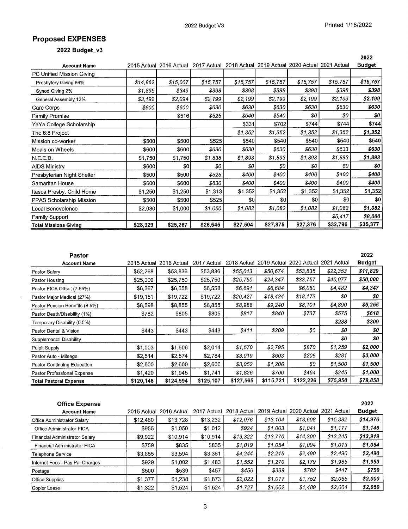# Proposed EXPENSES

 $\hat{\boldsymbol{\beta}}$ 

2022 Budget\_v3

|                              |          |                         |             |          |                                                 |          |          | 2022          |
|------------------------------|----------|-------------------------|-------------|----------|-------------------------------------------------|----------|----------|---------------|
| <b>Account Name</b>          |          | 2015 Actual 2016 Actual | 2017 Actual |          | 2018 Actual 2019 Actual 2020 Actual 2021 Actual |          |          | <b>Budget</b> |
| PC Unified Mission Giving    |          |                         |             |          |                                                 |          |          |               |
| Presbytery Giving 86%        | \$14,862 | \$15,007                | \$15,757    | \$15,757 | \$15,757                                        | \$15,757 | \$15,757 | \$15,757      |
| Synod Giving 2%              | \$1,895  | \$349                   | \$398       | \$398    | \$398                                           | \$398    | \$398    | \$398         |
| General Assembly 12%         | \$3,192  | \$2,094                 | \$2,199     | \$2,199  | \$2,199                                         | \$2,199  | \$2,199  | \$2,199       |
| Care Corps                   | \$600    | \$600                   | \$630       | \$630    | \$630                                           | \$630    | \$630    | \$630         |
| <b>Family Promise</b>        |          | \$516                   | \$525       | \$540    | \$540                                           | \$0      | \$0      | \$0           |
| YaYa College Scholarship     |          |                         |             | \$331    | \$702                                           | \$744    | \$744    | \$744         |
| The 6:8 Project              |          |                         |             | \$1,352  | \$1,352                                         | \$1,352  | \$1,352  | \$1,352       |
| Mission co-worker            | \$500    | \$500                   | \$525       | \$540    | \$540                                           | \$540    | \$540    | \$540         |
| Meals on Wheels              | \$600    | \$600                   | \$630       | \$630    | \$630                                           | \$630    | \$633    | \$630         |
| N.E.E.D.                     | \$1,750  | \$1,750                 | \$1,838     | \$1,893  | \$1,893                                         | \$1,893  | \$1,893  | \$1,893       |
| <b>AIDS Ministry</b>         | \$600    | \$0                     | \$0         | \$0      | \$0                                             | \$0      | \$0      | \$0           |
| Presbyterian Night Shelter   | \$500    | \$500                   | \$525       | \$400    | \$400                                           | \$400    | \$400    | \$400         |
| Samaritan House              | \$600    | \$600                   | \$630       | \$400    | \$400                                           | \$400    | \$400    | \$400         |
| Itasca Presby. Child Home    | \$1,250  | \$1,250                 | \$1,313     | \$1,352  | \$1,352                                         | \$1,352  | \$1,352  | \$1,352       |
| PPAS Scholarship Mission     | \$500    | \$500                   | \$525       | \$0      | \$0                                             | \$0      | \$0      | \$0           |
| Local Benevolence            | \$2,080  | \$1,000                 | \$1,050     | \$1,082  | \$1,082                                         | \$1,082  | \$1,082  | \$1,082       |
| Family Support               |          |                         |             |          |                                                 |          | \$5,417  | \$8,000       |
| <b>Total Missions Giving</b> | \$28,929 | \$25,267                | \$26,545    | \$27,504 | \$27,875                                        | \$27,376 | \$32,796 | \$35,377      |

| Pastor                         |             |             |             |             |             |             |             | 2022          |
|--------------------------------|-------------|-------------|-------------|-------------|-------------|-------------|-------------|---------------|
| <b>Account Name</b>            | 2015 Actual | 2016 Actual | 2017 Actual | 2018 Actual | 2019 Actual | 2020 Actual | 2021 Actual | <b>Budget</b> |
| Pastor Salary                  | \$52,268    | \$53,836    | \$53,836    | \$55.013    | \$50.674    | \$53,835    | \$22,353    | \$11,829      |
| Pastor Housing                 | \$25,000    | \$25,750    | \$25,750    | \$25,750    | \$24,347    | \$33,757    | \$40,077    | \$50,000      |
| Pastor FICA Offset (7.65%)     | \$6,367     | \$6,558     | \$6,558     | \$6,691     | \$6,684     | \$6,080     | \$4,482     | \$4,347       |
| Pastor Major Medical (27%)     | \$19,151    | \$19,722    | \$19,722    | \$20,427    | \$18,424    | \$18,173    | \$0         | \$0           |
| Pastor Pension Benefits (8.5%) | \$8,598     | \$8,855     | \$8,855     | \$8,988     | \$9,240     | \$8,101     | \$4,890     | \$5,255       |
| Pastor Death/Disability (1%)   | \$782       | \$805       | \$805       | \$817       | \$840       | \$737       | \$575       | \$618         |
| Temporary Disability (0.5%)    |             |             |             |             |             |             | \$288       | \$309         |
| Pastor Dental & Vision         | \$443       | \$443       | \$443       | \$411       | \$209       | 80          | \$0         | 80            |
| Supplemental Disability        |             |             |             |             |             |             | \$0         | \$0           |
| Pulpit Supply                  | \$1,003     | \$1,506     | \$2,014     | \$1,570     | \$2,795     | \$870       | \$1,259     | \$2,000       |
| Pastor Auto - Mileage          | \$2,514     | \$2,574     | \$2,784     | \$3,019     | \$603       | \$208       | \$281       | \$3,000       |
| Pastor Continuing Education    | \$2,600     | \$2,600     | \$2,600     | \$3,052     | \$1,206     | \$0         | \$1,500     | \$1,500       |
| Pastor Professional Expense    | \$1,420     | \$1,945     | \$1,741     | \$1,826     | \$700       | \$464       | \$245       | \$1,000       |
| <b>Total Pastoral Expense</b>  | \$120,148   | \$124,594   | \$125,107   | \$127,565   | \$115,721   | \$122,226   | \$75,950    | \$79,858      |

| <b>Office Expense</b>               |             |             |             |             |             |             |             | 2022          |
|-------------------------------------|-------------|-------------|-------------|-------------|-------------|-------------|-------------|---------------|
| <b>Account Name</b>                 | 2015 Actual | 2016 Actual | 2017 Actual | 2018 Actual | 2019 Actual | 2020 Actual | 2021 Actual | <b>Budget</b> |
| Office Administrator Salary         | \$12,480    | \$13.728    | \$13,232    | \$12.076    | \$13,104    | \$13,608    | \$15,382    | \$14,976      |
| Office Administrator FICA           | \$955       | \$1,050     | \$1,012     | \$924       | \$1,003     | \$1.041     | \$1,177     | \$1,146       |
| Financial Administrator Salary      | \$9,922     | \$10,914    | \$10.914    | \$13,322    | \$13,770    | \$14,300    | \$13,245    | \$13,919      |
| <b>Financial Administrator FICA</b> | \$759       | \$835       | \$835       | \$1.019     | \$1.054     | \$1,094     | \$1,013     | \$1,064       |
| Telephone Service                   | \$3,855     | \$3,594     | \$3,361     | \$4,244     | \$2,215     | \$2,490     | \$2,490     | \$2,490       |
| Internet Fees - Pay Pal Charges     | \$929       | \$1,002     | \$1,483     | \$1,552     | \$1,270     | \$2,179     | \$1,985     | \$1,953       |
| Postage                             | \$500       | \$539       | \$457       | \$456       | \$339       | \$782       | \$447       | \$750         |
| Office Supplies                     | \$1,377     | \$1,238     | \$1,873     | \$2,022     | \$1,017     | \$1,752     | \$2,065     | \$2,000       |
| Copier Lease                        | \$1,322     | \$1,524     | \$1,524     | \$1,727     | \$1,602     | \$1,489     | \$2,004     | \$2,050       |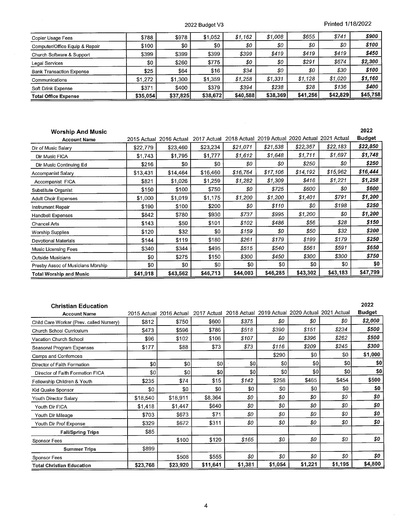2022 Budget V3 Printed 1/18/2022

 $\mathcal{L}$ 

| Soft Drink Expense<br><b>Total Office Expense</b> | \$371<br>\$35,054 | \$400<br>\$37,825 | \$379<br>\$38,672 | \$394<br>\$40,588 | \$238<br>\$38,369 | \$28<br>\$41,256 | \$136<br>\$42,829 | \$400<br>\$45,758 |
|---------------------------------------------------|-------------------|-------------------|-------------------|-------------------|-------------------|------------------|-------------------|-------------------|
| Communications                                    | \$1,272           | \$1,300           | \$1,359           | \$1,258           | \$1,331           | \$1,128          | \$1,020           | \$1,160           |
| <b>Bank Transaction Expense</b>                   | \$25              | \$64              | \$16              | \$34              | \$0               | \$0              | \$30              | \$100             |
| <b>Legal Services</b>                             | \$0               | \$260             | \$775             | \$0               | \$0               | \$291            | \$674             | \$2,300           |
| Church Software & Support                         | \$399             | \$399             | \$399             | \$399             | \$419             | \$419            | \$419             | \$450             |
| Computer/Office Equip & Repair                    | \$100             | \$0               | \$0               | 80                | 80                | \$0              | \$0               | \$100             |
| Copier Usage Fees                                 | \$788             | \$978             | \$1,052           | \$1,162           | \$1.008           | \$655            | \$741             | \$900             |

| <b>Worship And Music</b>          |             |             |             |             |             |             |             | 2022          |
|-----------------------------------|-------------|-------------|-------------|-------------|-------------|-------------|-------------|---------------|
| <b>Account Name</b>               | 2015 Actual | 2016 Actual | 2017 Actual | 2018 Actual | 2019 Actual | 2020 Actual | 2021 Actual | <b>Budget</b> |
| Dir of Music Salary               | \$22,779    | \$23,460    | \$23,234    | \$21,071    | \$21,538    | \$22,367    | \$22,183    | \$22,850      |
| Dir Music FICA                    | \$1,743     | \$1,795     | \$1,777     | \$1,612     | \$1,648     | \$1,711     | \$1,697     | \$1,748       |
| Dir Music Continuing Ed           | \$216       | \$0         | \$0         | \$0         | \$0         | \$250       | \$0         | \$250         |
| Accompanist Salary                | \$13,431    | \$14,464    | \$16,460    | \$16,764    | \$17,106    | \$14,192    | \$15,962    | \$16,444      |
| Accompanist FICA                  | \$821       | \$1,026     | \$1,259     | \$1,282     | \$1,309     | \$416       | \$1,221     | \$1,258       |
| Substitute Organist               | \$150       | \$100       | \$750       | \$0         | \$725       | \$600       | \$0         | \$600         |
| <b>Adult Choir Expenses</b>       | \$1,000     | \$1,019     | \$1,175     | \$1,200     | \$1,200     | \$1,401     | \$791       | \$1,200       |
| Instrument Repair                 | \$190       | \$100       | \$200       | \$0         | \$110       | 80          | \$198       | \$250         |
| <b>Handbell Expenses</b>          | \$842       | \$780       | \$930       | \$737       | \$995       | \$1,200     | \$0         | \$1,200       |
| Chancel Arts                      | \$143       | \$50        | \$101       | \$102       | \$486       | \$56        | \$28        | \$150         |
| <b>Worship Supplies</b>           | \$120       | \$32        | \$0         | \$159       | \$0         | \$50        | \$32        | \$200         |
| Devotional Materials              | \$144       | \$119       | \$180       | \$261       | \$179       | \$199       | \$179       | \$250         |
| Music Licensing Fees              | \$340       | \$344       | \$495       | \$515       | \$540       | \$561       | \$591       | \$650         |
| Outside Musicians                 | \$0         | \$275       | \$150       | \$300       | \$450       | \$300       | \$300       | \$750         |
| Presby Assoc of Musicians Mbrship | \$0         | \$0         | \$0         | \$0         | \$0         | \$0         | \$0         | \$0           |
| <b>Total Worship and Music</b>    | \$41,918    | \$43,562    | \$46,713    | \$44,003    | \$46,285    | \$43,302    | \$43,183    | \$47,799      |

| <b>Christian Education</b>               |          |                         |             |                                                 |         |         |         | 2022          |
|------------------------------------------|----------|-------------------------|-------------|-------------------------------------------------|---------|---------|---------|---------------|
| <b>Account Name</b>                      |          | 2015 Actual 2016 Actual | 2017 Actual | 2018 Actual 2019 Actual 2020 Actual 2021 Actual |         |         |         | <b>Budget</b> |
| Child Care Worker (Prev. called Nursery) | \$812    | \$750                   | \$600       | \$375                                           | \$0     | \$0     | \$0     | \$2,000       |
| Church School Curriculum                 | \$473    | \$596                   | \$786       | \$518                                           | \$390   | \$151   | \$234   | \$500         |
| Vacation Church School                   | \$96     | \$102                   | \$106       | \$107                                           | \$0     | \$396   | \$262   | \$500         |
| Seasonal Program Expenses                | \$177    | \$88                    | \$73        | \$73                                            | \$116   | \$209   | \$245   | \$300         |
| Camps and Confernces                     |          |                         |             |                                                 | \$290   | \$0     | \$0     | \$1,000       |
| Director of Faith Formation              | \$0      | \$0                     | \$0         | \$0                                             | \$0     | \$0     | \$0     | \$0           |
| Director of Faith Formation FICA         | \$0      | \$0                     | \$0         | \$0                                             | \$0     | \$0     | \$0     | \$0           |
| Fellowship Children & Youth              | \$235    | \$74                    | \$15        | \$142                                           | \$258   | \$465   | \$454   | \$500         |
| Kid Quake Sponsor                        | \$0      | \$0                     | \$0         | \$0                                             | \$0     | \$O     | \$0     | \$0           |
| Youth Director Salary                    | \$18,540 | \$18,911                | \$8,364     | \$0                                             | \$0     | \$0     | \$0     | \$0           |
| Youth Dir FICA                           | \$1,418  | \$1,447                 | \$640       | \$0                                             | \$0     | 80      | 80      | \$0           |
| Youth Dir Mileage                        | \$703    | \$673                   | \$71        | \$0                                             | \$0     | \$0     | \$0     | \$0           |
| Youth Dir Prof Expense                   | \$329    | \$672                   | \$311       | \$0                                             | \$0     | \$0     | 80      | \$0           |
| <b>Fall/Spring Trips</b>                 | \$85     |                         |             |                                                 |         |         |         |               |
| Sponsor Fees                             |          | \$100                   | \$120       | \$165                                           | \$0     | \$0     | \$0     | \$0           |
| <b>Summer Trips</b>                      | \$899    |                         |             |                                                 |         |         |         |               |
| Sponsor Fees                             |          | \$508                   | \$555       | \$0                                             | \$0     | \$0     | \$0     | \$0           |
| <b>Total Christian Education</b>         | \$23,768 | \$23,920                | \$11,641    | \$1,381                                         | \$1,054 | \$1,221 | \$1,195 | \$4,800       |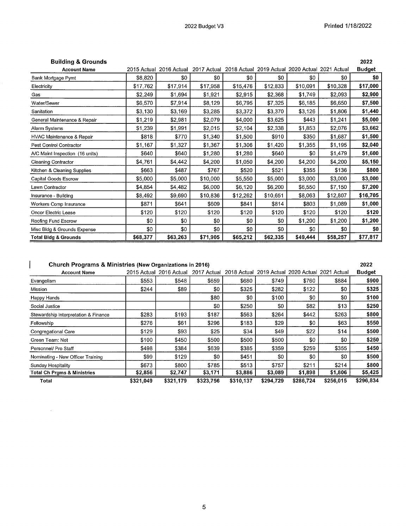| <b>Building &amp; Grounds</b>   |             |             |             |                                                 |          |          |          | 2022          |
|---------------------------------|-------------|-------------|-------------|-------------------------------------------------|----------|----------|----------|---------------|
| <b>Account Name</b>             | 2015 Actual | 2016 Actual | 2017 Actual | 2018 Actual 2019 Actual 2020 Actual 2021 Actual |          |          |          | <b>Budget</b> |
| Bank Mortgage Pymt              | \$8,820     | \$0         | \$0         | \$0                                             | \$0      | \$0      | \$0      | \$0           |
| Electricity                     | \$17,762    | \$17,914    | \$17,958    | \$15,476                                        | \$12,833 | \$10,091 | \$10,328 | \$17,000      |
| Gas                             | \$2,249     | \$1,694     | \$1,921     | \$2,915                                         | \$2,368  | \$1,749  | \$2,093  | \$2,900       |
| Water/Sewer                     | \$6,570     | \$7,914     | \$8,129     | \$6,795                                         | \$7,325  | \$6,185  | \$6,650  | \$7,500       |
| Sanitation                      | \$3,130     | \$3,169     | \$3,285     | \$3,372                                         | \$3,370  | \$3,126  | \$1,806  | \$1,440       |
| General Maintenance & Repair    | \$1,219     | \$2,981     | \$2,079     | \$4,000                                         | \$3,625  | \$443    | \$1,241  | \$5,000       |
| Alarm Systems                   | \$1,239     | \$1,991     | \$2,015     | \$2,104                                         | \$2,338  | \$1,853  | \$2,076  | \$3,662       |
| HVAC Maintenance & Repair       | \$818       | \$770       | \$1,340     | \$1,500                                         | \$910    | \$350    | \$1,687  | \$1,500       |
| Pest Control Contractor         | \$1,167     | \$1,327     | \$1,367     | \$1,306                                         | \$1,420  | \$1,355  | \$1,195  | \$2,040       |
| A/C Maint Inspection (16 units) | \$640       | \$640       | \$1,280     | \$1,280                                         | \$640    | \$0      | \$1,479  | \$1,600       |
| Cleaning Contractor             | \$4,761     | \$4,442     | \$4,200     | \$1,050                                         | \$4,200  | \$4,200  | \$4,200  | \$5,150       |
| Kitchen & Cleaning Supplies     | \$663       | \$487       | \$767       | \$520                                           | \$521    | \$355    | \$136    | \$800         |
| Capital Goods Escrow            | \$5,000     | \$5,000     | \$10,000    | \$5,550                                         | \$5,000  | \$3,000  | \$3,000  | \$3,000       |
| Lawn Contractor                 | \$4,854     | \$4,482     | \$6,000     | \$6,120                                         | \$6,200  | \$6,550  | \$7,150  | \$7,200       |
| Insurance - Building            | \$8,492     | \$9,690     | \$10,836    | \$12,262                                        | \$10,651 | \$8,063  | \$12,807 | \$16,705      |
| Workers Comp Insurance          | \$871       | \$641       | \$609       | \$841                                           | \$814    | \$803    | \$1,089  | \$1,000       |
| <b>Oncor Electric Lease</b>     | \$120       | \$120       | \$120       | \$120                                           | \$120    | \$120    | \$120    | \$120         |
| Roofing Fund Escrow             | \$0         | \$0         | \$0         | \$0                                             | \$0      | \$1,200  | \$1,200  | \$1,200       |
| Misc Bldg & Grounds Expense     | \$0         | \$0         | \$0         | \$0                                             | \$0      | \$0      | \$0      | \$0           |
| <b>Total Bidg &amp; Grounds</b> | \$68,377    | \$63,263    | \$71,905    | \$65,212                                        | \$62,335 | \$49,444 | \$58,257 | \$77,817      |

l,

Church Programs Ministries (New Organizations in 2016) 2022 2015 Actual 2016 Actual 2017 Actual 2018 Actual 2019 Actual 2020 Actual 2021 Actual **Budget**<br>
5553 3548 3659 3680 3749 3760 3884 3900 Evangelism \$553 \$548 \$659 \$680 \$749 \$760 \$884 \$900 Mission \$244 \$89 \$0 \$325 \$282 \$122 \$0 \$325 Happy Hands \$80 \$0 \$100 \$0 \$0 \$100 Social Justice \$0 \$250 \$0 \$82 \$13 \$250 Stewardship Interpretation & Finance | \$283 | \$193 | \$187 | \$563 | \$264 | \$442 | \$263 | \$800 Fellowship \$276 \$61 \$296 \$183 \$29 \$0 \$63 \$550 Congregational Care | \$129 | \$93 | \$25 | \$34 | \$49 | \$22 | \$14 | \$500 Green Team: Net \$100 \$450 \$500 \$500 \$500 \$0 \$0 \$250 Personnel/ Pro Staff \$498 \$384 \$639 \$385 \$359 \$259 \$355 \$450 Nominating New Officer Training 1999 \$129 \$0 \$451 \$0 \$0 \$0 \$0 \$500<br>Sunday Hospitality 1999 \$673 \$800 \$785 \$513 \$757 \$211 \$214 \$800 Sunday Hospitality \$673 \$800 \$785 \$513 \$757 \$211 \$214 \$800 Total Ch Prgms & Ministries **\$2,856** \$2,747 \$3,171 \$3,886 \$3,089 \$1,898 \$1,806 \$5,425<br>Total \$321.049 \$321.179 \$323.756 \$310.137 \$294.729 \$286.724 \$256.015 \$296.834 Total \$321,049 \$321,179 \$323,756 \$310,137 \$294,729 \$286,724 \$256,015 \$296,834